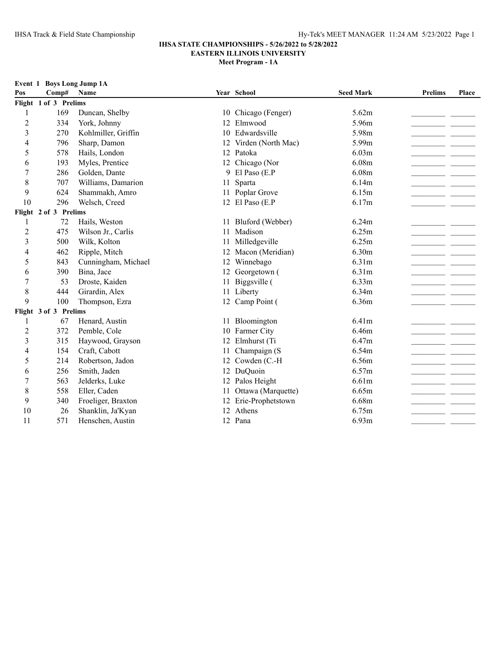### **IHSA STATE CHAMPIONSHIPS - 5/26/2022 to 5/28/2022 EASTERN ILLINOIS UNIVERSITY**

| Event 1        |                       | <b>Boys Long Jump 1A</b> |    |                     |                   |                |       |
|----------------|-----------------------|--------------------------|----|---------------------|-------------------|----------------|-------|
| Pos            | Comp#                 | Name                     |    | Year School         | <b>Seed Mark</b>  | <b>Prelims</b> | Place |
|                | Flight 1 of 3 Prelims |                          |    |                     |                   |                |       |
|                | 169                   | Duncan, Shelby           | 10 | Chicago (Fenger)    | 5.62m             |                |       |
| 2              | 334                   | York, Johnny             | 12 | Elmwood             | 5.96m             |                |       |
| 3              | 270                   | Kohlmiller, Griffin      | 10 | Edwardsville        | 5.98m             |                |       |
| 4              | 796                   | Sharp, Damon             | 12 | Virden (North Mac)  | 5.99m             |                |       |
| 5              | 578                   | Hails, London            | 12 | Patoka              | 6.03m             |                |       |
| 6              | 193                   | Myles, Prentice          | 12 | Chicago (Nor        | 6.08m             |                |       |
| $\tau$         | 286                   | Golden, Dante            | 9. | El Paso (E.P        | 6.08m             |                |       |
| 8              | 707                   | Williams, Damarion       | 11 | Sparta              | 6.14m             |                |       |
| 9              | 624                   | Shammakh, Amro           |    | 11 Poplar Grove     | 6.15m             |                |       |
| 10             | 296                   | Welsch, Creed            |    | 12 El Paso (E.P     | 6.17m             |                |       |
|                | Flight 2 of 3 Prelims |                          |    |                     |                   |                |       |
|                | 72                    | Hails, Weston            |    | 11 Bluford (Webber) | 6.24m             |                |       |
| $\overline{c}$ | 475                   | Wilson Jr., Carlis       | 11 | Madison             | 6.25m             |                |       |
| 3              | 500                   | Wilk, Kolton             | 11 | Milledgeville       | 6.25m             |                |       |
| 4              | 462                   | Ripple, Mitch            | 12 | Macon (Meridian)    | 6.30 <sub>m</sub> |                |       |
| 5              | 843                   | Cunningham, Michael      | 12 | Winnebago           | 6.31m             |                |       |
| 6              | 390                   | Bina, Jace               | 12 | Georgetown (        | 6.31m             |                |       |
| 7              | 53                    | Droste, Kaiden           | 11 | Biggsville (        | 6.33m             |                |       |
| 8              | 444                   | Girardin, Alex           | 11 | Liberty             | 6.34m             |                |       |
| 9              | 100                   | Thompson, Ezra           | 12 | Camp Point (        | 6.36m             |                |       |
|                | Flight 3 of 3 Prelims |                          |    |                     |                   |                |       |
|                | 67                    | Henard, Austin           |    | 11 Bloomington      | 6.41 <sub>m</sub> |                |       |

| $\overline{4}$ | 462                 | Ripple, Mitch           | 12 Macon (Meridian)   | 6.30m             |
|----------------|---------------------|-------------------------|-----------------------|-------------------|
| 5              | 843                 | Cunningham, Michael     | 12 Winnebago          | 6.31 <sub>m</sub> |
| 6              | 390                 | Bina, Jace              | 12 Georgetown (       | 6.31 <sub>m</sub> |
| 7              | 53                  | Droste, Kaiden          | 11 Biggsville (       | 6.33 <sub>m</sub> |
| 8              | 444                 | Girardin, Alex          | 11 Liberty            | 6.34m             |
| 9              | 100                 | Thompson, Ezra          | 12 Camp Point (       | 6.36m             |
|                | ight 3 of 3 Prelims |                         |                       |                   |
|                | 67                  | Henard, Austin          | 11 Bloomington        | 6.41 <sub>m</sub> |
| 2              | 372                 | Pemble, Cole            | 10 Farmer City        | 6.46m             |
| 3              | 315                 | Haywood, Grayson        | 12 Elmhurst (Ti       | 6.47m             |
| 4              | 154                 | Craft, Cabott           | 11 Champaign (S       | 6.54m             |
| 5              | 214                 | Robertson, Jadon        | 12 Cowden (C.-H       | 6.56m             |
| 6              | 256                 | Smith, Jaden            | 12 DuQuoin            | 6.57m             |
| 7              | 563                 | Jelderks, Luke          | 12 Palos Height       | 6.61 <sub>m</sub> |
| 8              | 558                 | Eller, Caden            | 11 Ottawa (Marquette) | 6.65m             |
| 9              | 340                 | Froeliger, Braxton      | 12 Erie-Prophetstown  | 6.68m             |
| 10             | 26                  | Shanklin, Ja'Kyan<br>12 | Athens                | 6.75m             |
| 11             | 571                 | Henschen, Austin<br>12. | Pana                  | 6.93 <sub>m</sub> |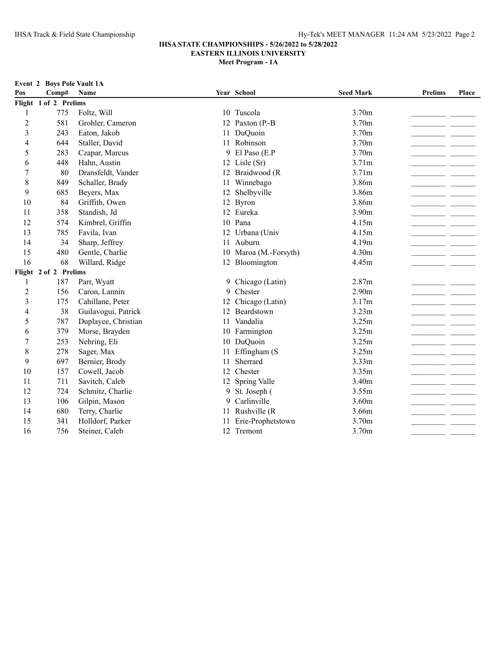|     | <b>Event 2 Boys Pole Vault 1A</b> |                     |     |                       |                   |                |       |
|-----|-----------------------------------|---------------------|-----|-----------------------|-------------------|----------------|-------|
| Pos | Comp#                             | Name                |     | Year School           | <b>Seed Mark</b>  | <b>Prelims</b> | Place |
|     | Flight 1 of 2 Prelims             |                     |     |                       |                   |                |       |
| 1   | 775                               | Foltz, Will         |     | 10 Tuscola            | 3.70m             |                |       |
| 2   | 581                               | Grohler, Cameron    | 12  | Paxton (P.-B          | 3.70m             |                |       |
| 3   | 243                               | Eaton, Jakob        | 11. | DuQuoin               | 3.70m             |                |       |
| 4   | 644                               | Staller, David      | 11  | Robinson              | 3.70m             |                |       |
| 5   | 283                               | Czapar, Marcus      | 9   | El Paso (E.P          | 3.70m             |                |       |
| 6   | 448                               | Hahn, Austin        | 12  | Lisle $(Sr)$          | 3.71 <sub>m</sub> |                |       |
| 7   | 80                                | Dransfeldt, Vander  | 12  | Braidwood (R          | 3.71 <sub>m</sub> |                |       |
| 8   | 849                               | Schaller, Brady     | 11  | Winnebago             | 3.86m             |                |       |
| 9   | 685                               | Beyers, Max         | 12  | Shelbyville           | 3.86m             |                |       |
| 10  | 84                                | Griffith, Owen      | 12  | <b>Byron</b>          | 3.86m             |                |       |
| 11  | 358                               | Standish, Jd        | 12  | Eureka                | 3.90 <sub>m</sub> |                |       |
| 12  | 574                               | Kimbrel, Griffin    |     | 10 Pana               | 4.15m             |                |       |
| 13  | 785                               | Favila, Ivan        | 12  | Urbana (Univ          | 4.15m             |                |       |
| 14  | 34                                | Sharp, Jeffrey      | 11  | Auburn                | 4.19m             |                |       |
| 15  | 480                               | Gentle, Charlie     |     | 10 Maroa (M.-Forsyth) | 4.30m             |                |       |
| 16  | 68                                | Willard, Ridge      |     | 12 Bloomington        | 4.45m             |                |       |
|     | Flight 2 of 2 Prelims             |                     |     |                       |                   |                |       |
| 1   | 187                               | Parr, Wyatt         | 9   | Chicago (Latin)       | 2.87 <sub>m</sub> |                |       |
| 2   | 156                               | Caron, Lannin       | 9   | Chester               | 2.90 <sub>m</sub> |                |       |
| 3   | 175                               | Cahillane, Peter    | 12  | Chicago (Latin)       | 3.17m             |                |       |
| 4   | 38                                | Guilavogui, Patrick | 12  | Beardstown            | 3.23m             |                |       |
| 5   | 787                               | Duplayee, Christian | 11  | Vandalia              | 3.25m             |                |       |
| 6   | 379                               | Morse, Brayden      | 10  | Farmington            | 3.25m             |                |       |
| 7   | 253                               | Nehring, Eli        | 10  | DuQuoin               | 3.25m             |                |       |
| 8   | 278                               | Sager, Max          | 11  | Effingham (S          | 3.25m             |                |       |
| 9   | 697                               | Bernier, Brody      | 11  | Sherrard              | 3.33m             |                |       |
| 10  | 157                               | Cowell, Jacob       | 12  | Chester               | 3.35m             |                |       |
| 11  | 711                               | Savitch, Caleb      | 12  | Spring Valle          | 3.40m             |                |       |
| 12  | 724                               | Schmitz, Charlie    | 9   | St. Joseph (          | 3.55m             |                |       |
| 13  | 106                               | Gilpin, Mason       | 9   | Carlinville           | 3.60 <sub>m</sub> |                |       |
| 14  | 680                               | Terry, Charlie      | 11  | Rushville (R          | 3.66m             |                |       |
| 15  | 341                               | Holldorf, Parker    | 11  | Erie-Prophetstown     | 3.70m             |                |       |
| 16  | 756                               | Steiner, Caleb      |     | 12 Tremont            | 3.70m             |                |       |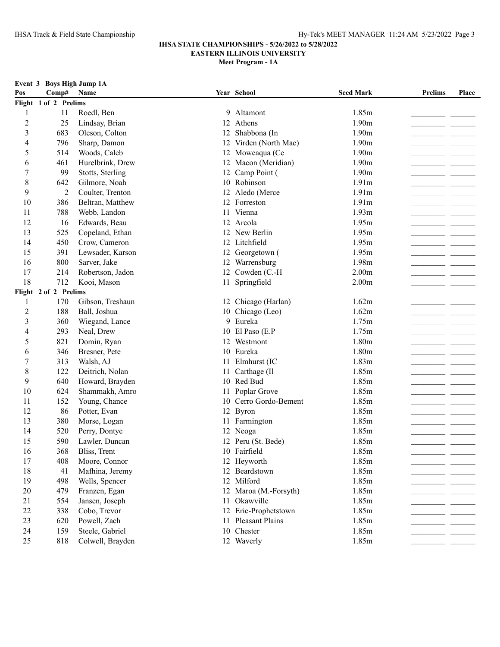|                | Event 3 Boys High Jump 1A |                  |    |                       |                   |                |       |
|----------------|---------------------------|------------------|----|-----------------------|-------------------|----------------|-------|
| Pos            | Comp#                     | Name             |    | Year School           | <b>Seed Mark</b>  | <b>Prelims</b> | Place |
|                | Flight 1 of 2 Prelims     |                  |    |                       |                   |                |       |
| 1              | 11                        | Roedl, Ben       |    | 9 Altamont            | 1.85m             |                |       |
| $\overline{c}$ | 25                        | Lindsay, Brian   |    | 12 Athens             | 1.90m             |                |       |
| 3              | 683                       | Oleson, Colton   |    | 12 Shabbona (In       | 1.90m             |                |       |
| 4              | 796                       | Sharp, Damon     |    | 12 Virden (North Mac) | 1.90m             |                |       |
| 5              | 514                       | Woods, Caleb     |    | 12 Moweaqua (Ce       | 1.90m             |                |       |
| 6              | 461                       | Hurelbrink, Drew |    | 12 Macon (Meridian)   | 1.90 <sub>m</sub> |                |       |
| 7              | 99                        | Stotts, Sterling |    | 12 Camp Point (       | 1.90 <sub>m</sub> |                |       |
| 8              | 642                       | Gilmore, Noah    |    | 10 Robinson           | 1.91 <sub>m</sub> |                |       |
| 9              | 2                         | Coulter, Trenton |    | 12 Aledo (Merce       | 1.91 <sub>m</sub> |                |       |
| 10             | 386                       | Beltran, Matthew |    | 12 Forreston          | 1.91m             |                |       |
| 11             | 788                       | Webb, Landon     | 11 | Vienna                | 1.93m             |                |       |
| 12             | 16                        | Edwards, Beau    |    | 12 Arcola             | 1.95m             |                |       |
| 13             | 525                       | Copeland, Ethan  |    | 12 New Berlin         | 1.95m             |                |       |
| 14             | 450                       | Crow, Cameron    |    | 12 Litchfield         | 1.95m             |                |       |
| 15             | 391                       | Lewsader, Karson |    | 12 Georgetown (       | 1.95m             |                |       |
| 16             | 800                       | Sarver, Jake     |    | 12 Warrensburg        | 1.98m             |                |       |
| 17             | 214                       | Robertson, Jadon |    | 12 Cowden (C.-H       | 2.00 <sub>m</sub> |                |       |
| 18             | 712                       | Kooi, Mason      |    | 11 Springfield        | 2.00 <sub>m</sub> |                |       |
|                | Flight 2 of 2 Prelims     |                  |    |                       |                   |                |       |
| 1              | 170                       | Gibson, Treshaun |    | 12 Chicago (Harlan)   | 1.62m             |                |       |
| $\overline{c}$ | 188                       | Ball, Joshua     |    | 10 Chicago (Leo)      | 1.62m             |                |       |
| 3              | 360                       | Wiegand, Lance   |    | 9 Eureka              | 1.75m             |                |       |
| 4              | 293                       | Neal, Drew       |    | 10 El Paso (E.P       | 1.75m             |                |       |
| 5              | 821                       | Domin, Ryan      |    | 12 Westmont           | 1.80m             |                |       |
| 6              | 346                       | Bresner, Pete    |    | 10 Eureka             | 1.80m             |                |       |
| 7              | 313                       | Walsh, AJ        |    | 11 Elmhurst (IC       | 1.83m             |                |       |
| $\,$ 8 $\,$    | 122                       | Deitrich, Nolan  |    | 11 Carthage (Il       | 1.85m             |                |       |
| 9              | 640                       | Howard, Brayden  |    | 10 Red Bud            | 1.85m             |                |       |
| 10             | 624                       | Shammakh, Amro   |    | 11 Poplar Grove       | 1.85m             |                |       |
| 11             | 152                       | Young, Chance    |    | 10 Cerro Gordo-Bement | 1.85m             |                |       |
| 12             | 86                        | Potter, Evan     |    | 12 Byron              | 1.85m             |                |       |
| 13             | 380                       | Morse, Logan     |    | 11 Farmington         | 1.85m             |                |       |
| 14             | 520                       | Perry, Dontye    |    | 12 Neoga              | 1.85m             |                |       |
| 15             | 590                       | Lawler, Duncan   |    | 12 Peru (St. Bede)    | 1.85m             |                |       |
| 16             | 368                       | Bliss, Trent     |    | 10 Fairfield          | 1.85m             |                |       |
| 17             | 408                       | Moore, Connor    |    | 12 Heyworth           | 1.85m             |                |       |
| 18             | 41                        | Mafhina, Jeremy  |    | 12 Beardstown         | 1.85m             |                |       |
| 19             | 498                       | Wells, Spencer   |    | 12 Milford            | 1.85m             |                |       |
| 20             | 479                       | Franzen, Egan    |    | 12 Maroa (M.-Forsyth) | 1.85m             |                |       |
| 21             | 554                       | Jansen, Joseph   |    | 11 Okawville          | 1.85m             |                |       |
| 22             | 338                       | Cobo, Trevor     |    | 12 Erie-Prophetstown  | 1.85m             |                |       |
| 23             | 620                       | Powell, Zach     |    | 11 Pleasant Plains    | 1.85m             |                |       |
| 24             | 159                       | Steele, Gabriel  |    | 10 Chester            | 1.85m             |                |       |
| 25             | 818                       | Colwell, Brayden |    | 12 Waverly            | 1.85m             |                |       |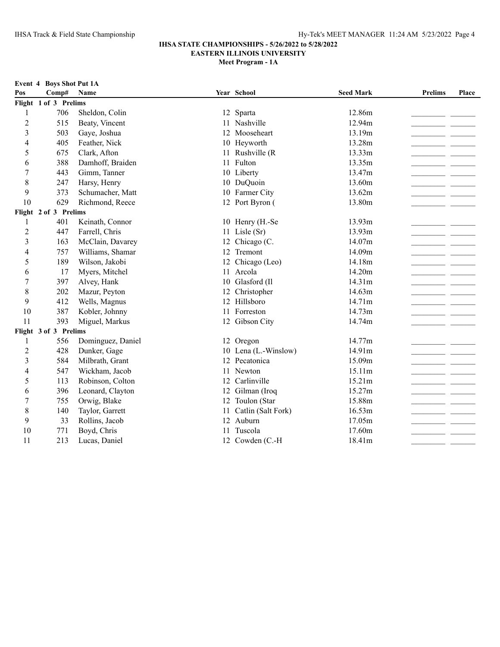**Meet Program - 1A**

**Event 4 Boys Shot Put 1A**<br>Pos Comn# Name

| Pos            | Comp#                 | Name              |    | Year School           | <b>Seed Mark</b> | <b>Prelims</b> | Place |
|----------------|-----------------------|-------------------|----|-----------------------|------------------|----------------|-------|
|                | Flight 1 of 3 Prelims |                   |    |                       |                  |                |       |
|                | 706                   | Sheldon, Colin    |    | 12 Sparta             | 12.86m           |                |       |
| $\overline{c}$ | 515                   | Beaty, Vincent    |    | 11 Nashville          | 12.94m           |                |       |
| 3              | 503                   | Gaye, Joshua      |    | 12 Mooseheart         | 13.19m           |                |       |
| 4              | 405                   | Feather, Nick     |    | 10 Heyworth           | 13.28m           |                |       |
| 5              | 675                   | Clark, Afton      |    | 11 Rushville (R       | 13.33m           |                |       |
| 6              | 388                   | Damhoff, Braiden  |    | 11 Fulton             | 13.35m           |                |       |
| 7              | 443                   | Gimm, Tanner      |    | 10 Liberty            | 13.47m           |                |       |
| 8              | 247                   | Harsy, Henry      |    | 10 DuQuoin            | 13.60m           |                |       |
| 9              | 373                   | Schumacher, Matt  |    | 10 Farmer City        | 13.62m           |                |       |
| 10             | 629                   | Richmond, Reece   |    | 12 Port Byron (       | 13.80m           |                |       |
|                | Flight 2 of 3 Prelims |                   |    |                       |                  |                |       |
| 1              | 401                   | Keinath, Connor   |    | 10 Henry (H.-Se       | 13.93m           |                |       |
| $\overline{2}$ | 447                   | Farrell, Chris    |    | 11 Lisle (Sr)         | 13.93m           |                |       |
| 3              | 163                   | McClain, Davarey  |    | 12 Chicago (C.        | 14.07m           |                |       |
| 4              | 757                   | Williams, Shamar  |    | 12 Tremont            | 14.09m           |                |       |
| 5              | 189                   | Wilson, Jakobi    |    | 12 Chicago (Leo)      | 14.18m           |                |       |
| 6              | 17                    | Myers, Mitchel    |    | 11 Arcola             | 14.20m           |                |       |
| 7              | 397                   | Alvey, Hank       |    | 10 Glasford (Il       | 14.31m           |                |       |
| 8              | 202                   | Mazur, Peyton     |    | 12 Christopher        | 14.63m           |                |       |
| 9              | 412                   | Wells, Magnus     |    | 12 Hillsboro          | 14.71m           |                |       |
| 10             | 387                   | Kobler, Johnny    |    | 11 Forreston          | 14.73m           |                |       |
| 11             | 393                   | Miguel, Markus    |    | 12 Gibson City        | 14.74m           |                |       |
|                | Flight 3 of 3 Prelims |                   |    |                       |                  |                |       |
| 1              | 556                   | Dominguez, Daniel |    | 12 Oregon             | 14.77m           |                |       |
| $\overline{c}$ | 428                   | Dunker, Gage      |    | 10 Lena (L.-Winslow)  | 14.91m           |                |       |
| 3              | 584                   | Milbrath, Grant   |    | 12 Pecatonica         | 15.09m           |                |       |
| 4              | 547                   | Wickham, Jacob    |    | 11 Newton             | 15.11m           |                |       |
| 5              | 113                   | Robinson, Colton  |    | 12 Carlinville        | 15.21m           |                |       |
| 6              | 396                   | Leonard, Clayton  |    | 12 Gilman (Iroq       | 15.27m           |                |       |
| 7              | 755                   | Orwig, Blake      |    | 12 Toulon (Star       | 15.88m           |                |       |
| 8              | 140                   | Taylor, Garrett   |    | 11 Catlin (Salt Fork) | 16.53m           |                |       |
| 9              | 33                    | Rollins, Jacob    |    | 12 Auburn             | 17.05m           |                |       |
| 10             | 771                   | Boyd, Chris       | 11 | Tuscola               | 17.60m           |                |       |
| 11             | 213                   | Lucas, Daniel     |    | 12 Cowden (C.-H       | 18.41m           |                |       |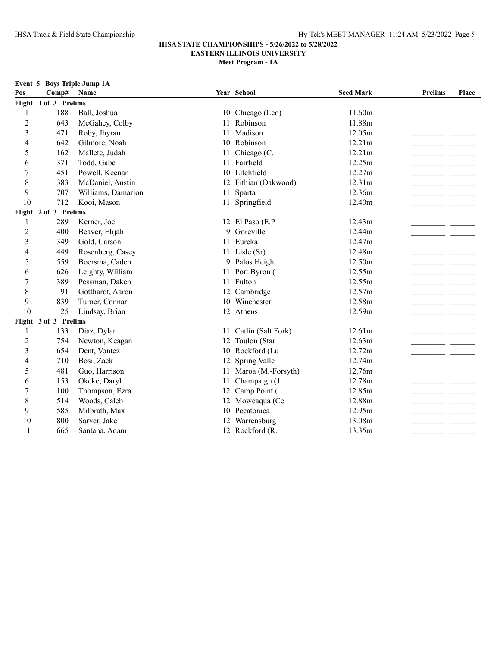**Meet Program - 1A**

|                | Event 5 Boys Triple Jump 1A |                    |    |                       |                  |                |       |
|----------------|-----------------------------|--------------------|----|-----------------------|------------------|----------------|-------|
| Pos            | Comp#                       | Name               |    | Year School           | <b>Seed Mark</b> | <b>Prelims</b> | Place |
|                | Flight 1 of 3 Prelims       |                    |    |                       |                  |                |       |
| 1              | 188                         | Ball, Joshua       |    | 10 Chicago (Leo)      | 11.60m           |                |       |
| $\overline{c}$ | 643                         | McGahey, Colby     | 11 | Robinson              | 11.88m           |                |       |
| $\overline{3}$ | 471                         | Roby, Jhyran       | 11 | Madison               | 12.05m           |                |       |
| $\overline{4}$ | 642                         | Gilmore, Noah      |    | 10 Robinson           | 12.21m           |                |       |
| 5              | 162                         | Mallete, Judah     |    | Chicago (C.           | 12.21m           |                |       |
| 6              | 371                         | Todd, Gabe         | 11 | Fairfield             | 12.25m           |                |       |
| 7              | 451                         | Powell, Keenan     |    | 10 Litchfield         | 12.27m           |                |       |
| 8              | 383                         | McDaniel, Austin   |    | 12 Fithian (Oakwood)  | 12.31m           |                |       |
| 9              | 707                         | Williams, Damarion |    | 11 Sparta             | 12.36m           |                |       |
| 10             | 712                         | Kooi, Mason        |    | 11 Springfield        | 12.40m           |                |       |
|                | Flight 2 of 3 Prelims       |                    |    |                       |                  |                |       |
| 1              | 289                         | Kerner, Joe        |    | 12 El Paso (E.P       | 12.43m           |                |       |
| $\overline{2}$ | 400                         | Beaver, Elijah     |    | 9 Goreville           | 12.44m           |                |       |
| 3              | 349                         | Gold, Carson       |    | 11 Eureka             | 12.47m           |                |       |
| 4              | 449                         | Rosenberg, Casey   |    | 11 Lisle (Sr)         | 12.48m           |                |       |
| 5              | 559                         | Boersma, Caden     |    | 9 Palos Height        | 12.50m           |                |       |
| 6              | 626                         | Leighty, William   |    | 11 Port Byron (       | 12.55m           |                |       |
| 7              | 389                         | Pessman, Daken     |    | 11 Fulton             | 12.55m           |                |       |
| 8              | 91                          | Gotthardt, Aaron   |    | 12 Cambridge          | 12.57m           |                |       |
| 9              | 839                         | Turner, Connar     | 10 | Winchester            | 12.58m           |                |       |
| 10             | 25                          | Lindsay, Brian     |    | 12 Athens             | 12.59m           |                |       |
|                | Flight 3 of 3 Prelims       |                    |    |                       |                  |                |       |
| 1              | 133                         | Diaz, Dylan        |    | 11 Catlin (Salt Fork) | 12.61m           |                |       |
| $\overline{2}$ | 754                         | Newton, Keagan     | 12 | Toulon (Star          | 12.63m           |                |       |
| $\mathfrak{Z}$ | 654                         | Dent, Vontez       | 10 | Rockford (Lu          | 12.72m           |                |       |
| 4              | 710                         | Bosi, Zack         |    | 12 Spring Valle       | 12.74m           |                |       |
| 5              | 481                         | Guo, Harrison      | 11 | Maroa (M.-Forsyth)    | 12.76m           |                |       |
| 6              | 153                         | Okeke, Daryl       | 11 | Champaign (J          | 12.78m           |                |       |
| 7              | 100                         | Thompson, Ezra     | 12 | Camp Point (          | 12.85m           |                |       |
| 8              | 514                         | Woods, Caleb       |    | 12 Moweaqua (Ce       | 12.88m           |                |       |
| 9              | 585                         | Milbrath, Max      | 10 | Pecatonica            | 12.95m           |                |       |
| 10             | 800                         | Sarver, Jake       |    | 12 Warrensburg        | 13.08m           |                |       |

# 665 Santana, Adam 12 Rockford (R. 13.35m\_\_\_\_\_\_\_\_\_\_\_\_\_\_\_\_\_\_\_\_\_\_ \_\_\_\_\_\_\_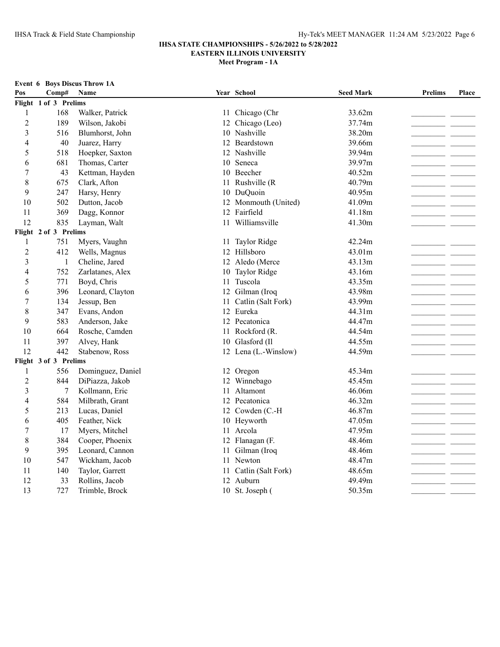**Meet Program - 1A**

|                |                       | <b>Event 6 Boys Discus Throw 1A</b> |    |                      |                  |                |       |
|----------------|-----------------------|-------------------------------------|----|----------------------|------------------|----------------|-------|
| Pos            | Comp#                 | Name                                |    | Year School          | <b>Seed Mark</b> | <b>Prelims</b> | Place |
|                | Flight 1 of 3 Prelims |                                     |    |                      |                  |                |       |
| $\mathbf{1}$   | 168                   | Walker, Patrick                     |    | 11 Chicago (Chr      | 33.62m           |                |       |
| $\overline{c}$ | 189                   | Wilson, Jakobi                      | 12 | Chicago (Leo)        | 37.74m           |                |       |
| $\mathfrak{Z}$ | 516                   | Blumhorst, John                     |    | 10 Nashville         | 38.20m           |                |       |
| 4              | 40                    | Juarez, Harry                       |    | 12 Beardstown        | 39.66m           |                |       |
| 5              | 518                   | Hoepker, Saxton                     | 12 | Nashville            | 39.94m           |                |       |
| 6              | 681                   | Thomas, Carter                      |    | 10 Seneca            | 39.97m           |                |       |
| 7              | 43                    | Kettman, Hayden                     |    | 10 Beecher           | 40.52m           |                |       |
| 8              | 675                   | Clark, Afton                        | 11 | Rushville (R         | 40.79m           |                |       |
| 9              | 247                   | Harsy, Henry                        |    | 10 DuQuoin           | 40.95m           |                |       |
| 10             | 502                   | Dutton, Jacob                       |    | 12 Monmouth (United) | 41.09m           |                |       |
| 11             | 369                   | Dagg, Konnor                        | 12 | Fairfield            | 41.18m           |                |       |
| 12             | 835                   | Layman, Walt                        |    | 11 Williamsville     | 41.30m           |                |       |
|                | Flight 2 of 3 Prelims |                                     |    |                      |                  |                |       |
| 1              | 751                   | Myers, Vaughn                       | 11 | Taylor Ridge         | 42.24m           |                |       |
| $\overline{c}$ | 412                   | Wells, Magnus                       |    | 12 Hillsboro         | 43.01m           |                |       |
| 3              | $\mathbf{1}$          | Cheline, Jared                      |    | 12 Aledo (Merce      | 43.13m           |                |       |
| 4              | 752                   | Zarlatanes, Alex                    | 10 | Taylor Ridge         | 43.16m           |                |       |
| 5              | 771                   | Boyd, Chris                         |    | 11 Tuscola           | 43.35m           |                |       |
| 6              | 396                   | Leonard, Clayton                    |    | 12 Gilman (Iroq      | 43.98m           |                |       |
| 7              | 134                   | Jessup, Ben                         | 11 | Catlin (Salt Fork)   | 43.99m           |                |       |
| 8              | 347                   | Evans, Andon                        |    | 12 Eureka            | 44.31m           |                |       |
| 9              | 583                   | Anderson, Jake                      |    | 12 Pecatonica        | 44.47m           |                |       |
| 10             | 664                   | Rosche, Camden                      | 11 | Rockford (R.         | 44.54m           |                |       |
| 11             | 397                   | Alvey, Hank                         |    | 10 Glasford (Il      | 44.55m           |                |       |
| 12             | 442                   | Stabenow, Ross                      |    | 12 Lena (L.-Winslow) | 44.59m           |                |       |
|                | Flight 3 of 3 Prelims |                                     |    |                      |                  |                |       |
| $\mathbf{1}$   | 556                   | Dominguez, Daniel                   |    | 12 Oregon            | 45.34m           |                |       |
| $\overline{2}$ | 844                   | DiPiazza, Jakob                     | 12 | Winnebago            | 45.45m           |                |       |
| 3              | 7                     | Kollmann, Eric                      | 11 | Altamont             | 46.06m           |                |       |
| 4              | 584                   | Milbrath, Grant                     |    | 12 Pecatonica        | 46.32m           |                |       |
| 5              | 213                   | Lucas, Daniel                       |    | 12 Cowden (C.-H      | 46.87m           |                |       |
| 6              | 405                   | Feather, Nick                       |    | 10 Heyworth          | 47.05m           |                |       |
| $\sqrt{ }$     | 17                    | Myers, Mitchel                      |    | 11 Arcola            | 47.95m           |                |       |
| 8              | 384                   | Cooper, Phoenix                     |    | 12 Flanagan (F.      | 48.46m           |                |       |
| 9              | 395                   | Leonard, Cannon                     | 11 | Gilman (Iroq         | 48.46m           |                |       |
| 10             | 547                   | Wickham, Jacob                      |    | 11 Newton            | 48.47m           |                |       |
| 11             | 140                   | Taylor, Garrett                     | 11 | Catlin (Salt Fork)   | 48.65m           |                |       |
| 12             | 33                    | Rollins, Jacob                      |    | 12 Auburn            | 49.49m           |                |       |

13 727 Trimble, Brock 10 St. Joseph ( 50.35m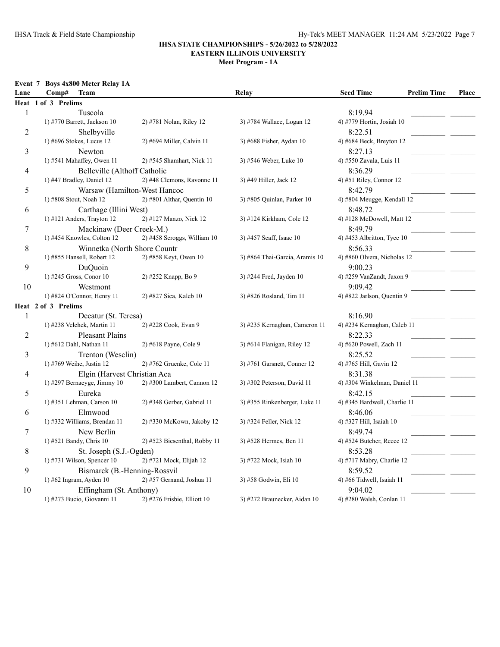| Event 7 Boys 4x800 Meter Relay 1A |  |  |  |  |  |  |
|-----------------------------------|--|--|--|--|--|--|
|-----------------------------------|--|--|--|--|--|--|

| Lane           | Comp#<br><b>Team</b>         |                               | Relay                          | <b>Seed Time</b>             | <b>Prelim Time</b> | Place |
|----------------|------------------------------|-------------------------------|--------------------------------|------------------------------|--------------------|-------|
|                | Heat 1 of 3 Prelims          |                               |                                |                              |                    |       |
| $\mathbf{1}$   | Tuscola                      |                               |                                | 8:19.94                      |                    |       |
|                | 1) #770 Barrett, Jackson 10  | 2) #781 Nolan, Riley 12       | 3) #784 Wallace, Logan 12      | 4) #779 Hortin, Josiah 10    |                    |       |
| $\overline{c}$ | Shelbyville                  |                               |                                | 8:22.51                      |                    |       |
|                | 1) #696 Stokes, Lucus 12     | 2) #694 Miller, Calvin 11     | 3) #688 Fisher, Aydan 10       | 4) #684 Beck, Breyton 12     |                    |       |
| 3              | Newton                       |                               |                                | 8:27.13                      |                    |       |
|                | 1) #541 Mahaffey, Owen 11    | 2) #545 Shamhart, Nick 11     | 3) #546 Weber, Luke 10         | 4) #550 Zavala, Luis 11      |                    |       |
| $\overline{4}$ | Belleville (Althoff Catholic |                               |                                | 8:36.29                      |                    |       |
|                | 1) #47 Bradley, Daniel 12    | 2) #48 Clemons, Ravonne 11    | 3) #49 Hiller, Jack 12         | 4) #51 Riley, Connor 12      |                    |       |
| 5              |                              | Warsaw (Hamilton-West Hancoc  |                                | 8:42.79                      |                    |       |
|                | 1) #808 Stout, Noah 12       | 2) #801 Althar, Quentin 10    | 3) #805 Quinlan, Parker 10     | 4) #804 Meugge, Kendall 12   |                    |       |
| 6              | Carthage (Illini West)       |                               |                                | 8:48.72                      |                    |       |
|                | 1) #121 Anders, Trayton 12   | 2) #127 Manzo, Nick 12        | 3) #124 Kirkham, Cole 12       | 4) #128 McDowell, Matt 12    |                    |       |
| 7              | Mackinaw (Deer Creek-M.)     |                               |                                | 8:49.79                      |                    |       |
|                | 1) #454 Knowles, Colton 12   | $2)$ #458 Scroggs, William 10 | 3) #457 Scaff, Isaac 10        | 4) #453 Albritton, Tyce 10   |                    |       |
| 8              | Winnetka (North Shore Countr |                               |                                | 8:56.33                      |                    |       |
|                | 1) #855 Hansell, Robert 12   | 2) #858 Keyt, Owen 10         | 3) #864 Thai-Garcia, Aramis 10 | 4) #860 Olvera, Nicholas 12  |                    |       |
| 9              | DuQuoin                      |                               |                                | 9:00.23                      |                    |       |
|                | 1) #245 Gross, Conor 10      | 2) #252 Knapp, Bo 9           | 3) #244 Fred, Jayden 10        | 4) #259 VanZandt, Jaxon 9    |                    |       |
| 10             | Westmont                     |                               |                                | 9:09.42                      |                    |       |
|                | 1) #824 O'Connor, Henry 11   | 2) #827 Sica, Kaleb 10        | 3) #826 Rosland, Tim 11        | 4) #822 Jarlson, Quentin 9   |                    |       |
|                | Heat 2 of 3 Prelims          |                               |                                |                              |                    |       |
| $\mathbf{1}$   | Decatur (St. Teresa)         |                               |                                | 8:16.90                      |                    |       |
|                | 1) #238 Velchek, Martin 11   | 2) #228 Cook, Evan 9          | 3) #235 Kernaghan, Cameron 11  | 4) #234 Kernaghan, Caleb 11  |                    |       |
| $\overline{c}$ | <b>Pleasant Plains</b>       |                               |                                | 8:22.33                      |                    |       |
|                | 1) #612 Dahl, Nathan 11      | 2) #618 Payne, Cole 9         | 3) #614 Flanigan, Riley 12     | 4) #620 Powell, Zach 11      |                    |       |
| 3              | Trenton (Wesclin)            |                               |                                | 8:25.52                      |                    |       |
|                | 1) #769 Weihe, Justin 12     | 2) #762 Gruenke, Cole 11      | 3) #761 Garsnett, Conner 12    | 4) #765 Hill, Gavin 12       |                    |       |
| 4              | Elgin (Harvest Christian Aca |                               |                                | 8:31.38                      |                    |       |
|                | 1) #297 Bernaeyge, Jimmy 10  | $2)$ #300 Lambert, Cannon 12  | 3) #302 Peterson, David 11     | 4) #304 Winkelman, Daniel 11 |                    |       |
| 5              | Eureka                       |                               |                                | 8:42.15                      |                    |       |
|                | 1) #351 Lehman, Carson 10    | 2) #348 Gerber, Gabriel 11    | 3) #355 Rinkenberger, Luke 11  | 4) #345 Bardwell, Charlie 11 |                    |       |
| 6              | Elmwood                      |                               |                                | 8:46.06                      |                    |       |
|                | 1) #332 Williams, Brendan 11 | 2) #330 McKown, Jakoby 12     | 3) #324 Feller, Nick 12        | 4) #327 Hill, Isaiah 10      |                    |       |
| $\tau$         | New Berlin                   |                               |                                | 8:49.74                      |                    |       |
|                | 1) #521 Bandy, Chris 10      | 2) #523 Biesenthal, Robby 11  | 3) #528 Hermes, Ben 11         | 4) #524 Butcher, Reece 12    |                    |       |
| 8              | St. Joseph (S.J.-Ogden)      |                               |                                | 8:53.28                      |                    |       |
|                | 1) #731 Wilson, Spencer $10$ | 2) #721 Mock, Elijah 12       | 3) #722 Mock, Isiah 10         | 4) #717 Mabry, Charlie 12    |                    |       |
| 9              | Bismarck (B.-Henning-Rossvil |                               |                                | 8:59.52                      |                    |       |
|                | 1) #62 Ingram, Ayden $10$    | 2) #57 Gernand, Joshua 11     | 3) #58 Godwin, Eli 10          | 4) #66 Tidwell, Isaiah 11    |                    |       |
| 10             | Effingham (St. Anthony)      |                               |                                | 9:04.02                      |                    |       |
|                | 1) #273 Bucio, Giovanni 11   | 2) #276 Frisbie, Elliott 10   | 3) #272 Braunecker, Aidan 10   | 4) #280 Walsh, Conlan 11     |                    |       |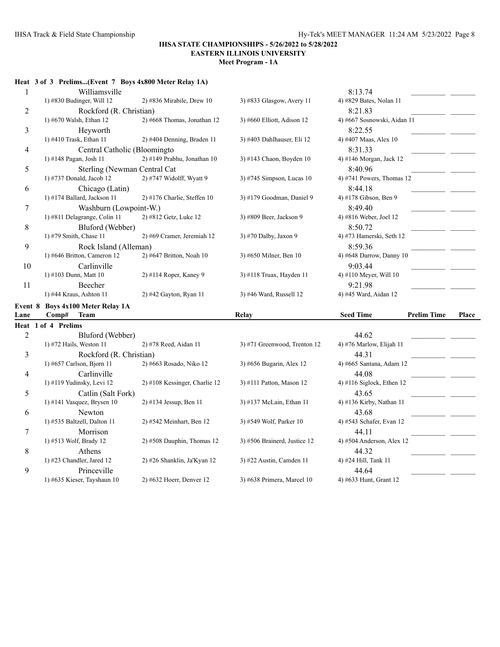**Meet Program - 1A**

# **Heat 3 of 3 Prelims...(Event 7 Boys 4x800 Meter Relay 1A)**

| 1              | Williamsville                    |                               |                              | 8:13.74                     |                    |       |
|----------------|----------------------------------|-------------------------------|------------------------------|-----------------------------|--------------------|-------|
|                | 1) #830 Budinger, Will 12        | 2) #836 Mirabile, Drew 10     | 3) #833 Glasgow, Avery 11    | 4) #829 Bates, Nolan 11     |                    |       |
| 2              | Rockford (R. Christian)          |                               |                              | 8:21.83                     |                    |       |
|                | 1) #670 Walsh, Ethan 12          | 2) #668 Thomas, Jonathan 12   | 3) #660 Elliott, Adison 12   | 4) #667 Sosnowski, Aidan 11 |                    |       |
| 3              | Heyworth                         |                               |                              | 8:22.55                     |                    |       |
|                | 1) #410 Trask, Ethan 11          | 2) #404 Denning, Braden 11    | 3) #403 Dahlhauser, Eli 12   | 4) #407 Maas, Alex 10       |                    |       |
| 4              | Central Catholic (Bloomingto     |                               |                              | 8:31.33                     |                    |       |
|                | 1) #148 Pagan, Josh 11           | 2) #149 Prabhu, Jonathan 10   | 3) #143 Chaon, Boyden 10     | 4) #146 Morgan, Jack 12     |                    |       |
| 5              | Sterling (Newman Central Cat     |                               |                              | 8:40.96                     |                    |       |
|                | 1) #737 Donald, Jacob 12         | 2) #747 Widolff, Wyatt 9      | 3) #745 Simpson, Lucas 10    | 4) #741 Powers, Thomas 12   |                    |       |
| 6              | Chicago (Latin)                  |                               |                              | 8:44.18                     |                    |       |
|                | 1) #174 Ballard, Jackson 11      | 2) #176 Charlie, Steffen 10   | 3) #179 Goodman, Daniel 9    | 4) #178 Gibson, Ben 9       |                    |       |
| $\tau$         | Washburn (Lowpoint-W.)           |                               |                              | 8:49.40                     |                    |       |
|                | 1) #811 Delagrange, Colin 11     | 2) #812 Getz, Luke 12         | 3) #809 Beer, Jackson 9      | 4) #816 Weber, Joel 12      |                    |       |
| 8              | Bluford (Webber)                 |                               |                              | 8:50.72                     |                    |       |
|                | 1) #79 Smith, Chase 11           | 2) #69 Cramer, Jeremiah 12    | 3) #70 Dalby, Jaxon 9        | 4) #73 Hamerski, Seth 12    |                    |       |
| 9              | Rock Island (Alleman)            |                               |                              | 8:59.36                     |                    |       |
|                | 1) #646 Britton, Cameron 12      | 2) #647 Britton, Noah 10      | 3) #650 Milner, Ben 10       | 4) #648 Darrow, Danny 10    |                    |       |
| 10             | Carlinville                      |                               |                              | 9:03.44                     |                    |       |
|                | 1) #103 Dunn, Matt 10            | 2) #114 Roper, Kaney 9        | 3) #118 Truax, Hayden 11     | 4) #110 Meyer, Will 10      |                    |       |
| 11             | Beecher                          |                               |                              | 9:21.98                     |                    |       |
|                | 1) #44 Kraus, Ashton 11          | 2) #42 Gayton, Ryan 11        | 3) #46 Ward, Russell 12      | 4) #45 Ward, Aidan 12       |                    |       |
| Event 8        | <b>Boys 4x100 Meter Relay 1A</b> |                               |                              |                             |                    |       |
| Lane           | Comp#<br>Team                    |                               | Relay                        | <b>Seed Time</b>            | <b>Prelim Time</b> | Place |
|                | Heat 1 of 4 Prelims              |                               |                              |                             |                    |       |
| $\overline{2}$ | Bluford (Webber)                 |                               |                              | 44.62                       |                    |       |
|                | 1) #72 Hails, Weston 11          | 2) #78 Reed, Aidan 11         | 3) #71 Greenwood, Trenton 12 | 4) #76 Marlow, Elijah 11    |                    |       |
| 3              | Rockford (R. Christian)          |                               |                              | 44.31                       |                    |       |
|                | 1) #657 Carlson, Bjorn 11        | 2) #663 Rosado, Niko 12       | 3) #656 Bugarin, Alex 12     | 4) #665 Santana, Adam 12    |                    |       |
| $\overline{4}$ | Carlinville                      |                               |                              | 44.08                       |                    |       |
|                | 1) #119 Yudinsky, Levi 12        | 2) #108 Kessinger, Charlie 12 | 3) #111 Patton, Mason 12     | 4) #116 Siglock, Ethen 12   |                    |       |
| 5              | Catlin (Salt Fork)               |                               |                              | 43.65                       |                    |       |
|                | 1) #141 Vasquez, Brysen 10       | 2) #134 Jessup, Ben 11        | 3) #137 McLain, Ethan 11     | 4) #136 Kirby, Nathan 11    |                    |       |
| 6              | Newton                           |                               |                              | 43.68                       |                    |       |
|                | 1) #535 Baltzell, Dalton 11      | 2) #542 Meinhart, Ben 12      | 3) #549 Wolf, Parker 10      | 4) #543 Schafer, Evan 12    |                    |       |
| 7              | Morrison                         |                               |                              | 44.11                       |                    |       |
|                | 1) #513 Wolf, Brady 12           | $2)$ #508 Dauphin, Thomas 12  | 3) #506 Brainerd, Justice 12 | 4) #504 Anderson, Alex 12   |                    |       |
| 8              | Athens                           |                               |                              | 44.32                       |                    |       |
|                |                                  |                               |                              |                             |                    |       |
|                | 1) #23 Chandler, Jared 12        | 2) #26 Shanklin, Ja'Kyan 12   | 3) #22 Austin, Camden 11     | 4) #24 Hill, Tank 11        |                    |       |
| 9              | Princeville                      |                               |                              | 44.64                       |                    |       |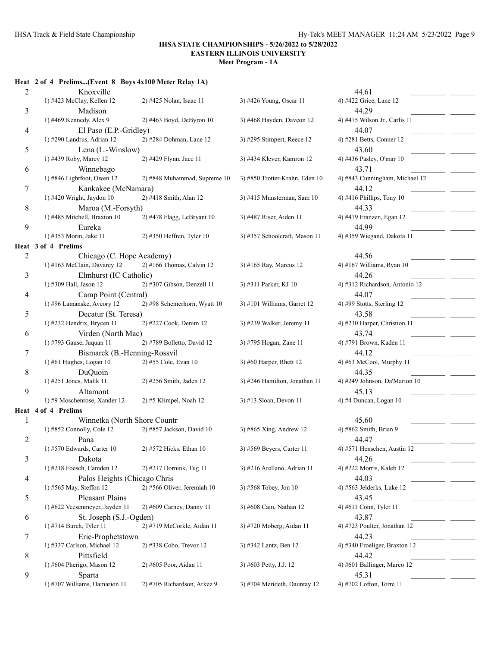**Meet Program - 1A**

# **Heat 2 of 4 Prelims...(Event 8 Boys 4x100 Meter Relay 1A)**

| $\overline{c}$ | Knoxville                      |                              |                                | 44.61                          |
|----------------|--------------------------------|------------------------------|--------------------------------|--------------------------------|
|                | 1) #423 McClay, Kellen 12      | 2) #425 Nolan, Isaac 11      | 3) #426 Young, Oscar 11        | 4) #422 Grice, Lane 12         |
| 3              | Madison                        |                              |                                | 44.29                          |
|                | 1) #469 Kennedy, Alex 9        | 2) #463 Boyd, DeByron 10     | 3) #468 Hayden, Daveon 12      | 4) #475 Wilson Jr., Carlis 11  |
| 4              | El Paso (E.P.-Gridley)         |                              |                                | 44.07                          |
|                | 1) #290 Landrus, Adrian 12     | 2) #284 Dohman, Lane 12      | 3) #295 Stimpert, Reece 12     | 4) #281 Betts, Conner 12       |
| 5              | Lena (L.-Winslow)              |                              |                                | 43.60                          |
|                | 1) #439 Roby, Marey 12         | 2) #429 Flynn, Jace 11       | 3) #434 Klever, Kamron 12      | 4) #436 Pasley, O'mar 10       |
| 6              | Winnebago                      |                              |                                | 43.71                          |
|                | 1) #846 Lightfoot, Owen 12     | 2) #848 Muhammad, Supreme 10 | 3) #850 Trotter-Krahn, Eden 10 | 4) #843 Cunningham, Michael 12 |
| 7              | Kankakee (McNamara)            |                              |                                | 44.12                          |
|                | 1) #420 Wright, Jaydon 10      | 2) #418 Smith, Alan 12       | 3) #415 Munsterman, Sam 10     | 4) #416 Phillips, Tony 10      |
| 8              | Maroa (M.-Forsyth)             |                              |                                | 44.33                          |
|                | 1) #485 Mitchell, Braxton 10   | 2) #478 Flagg, LeBryant 10   | 3) #487 Riser, Aiden 11        | 4) #479 Franzen, Egan 12       |
| 9              | Eureka                         |                              |                                | 44.99                          |
|                | 1) #353 Morin, Jake 11         | 2) #350 Heffren, Tyler 10    | 3) #357 Schoolcraft, Mason 11  | 4) #359 Wiegand, Dakota 11     |
|                | Heat 3 of 4 Prelims            |                              |                                |                                |
| 2              | Chicago (C. Hope Academy)      |                              |                                | 44.56                          |
|                | 1) #163 McClain, Davarey 12    | $2)$ #166 Thomas, Calvin 12  | 3) #165 Ray, Marcus 12         | 4) #167 Williams, Ryan 10      |
| 3              | Elmhurst (IC Catholic)         |                              |                                | 44.26                          |
|                | 1) #309 Hall, Jason 12         | 2) #307 Gibson, Denzell 11   | 3) #311 Parker, KJ 10          | 4) #312 Richardson, Antonio 12 |
| 4              | Camp Point (Central)           |                              |                                | 44.07                          |
|                | 1) #96 Lamanske, Aveory 12     | 2) #98 Schemerhorn, Wyatt 10 | 3) #101 Williams, Garret 12    | 4) #99 Stotts, Sterling 12     |
| 5              | Decatur (St. Teresa)           |                              |                                | 43.58                          |
|                | 1) #232 Hendrix, Brycen 11     | 2) #227 Cook, Denim 12       | 3) #239 Walker, Jeremy 11      | 4) #230 Harper, Christion 11   |
| 6              | Virden (North Mac)             |                              |                                | 43.74                          |
|                | 1) #793 Gause, Jaquan 11       | 2) #789 Bolletto, David 12   | 3) #795 Hogan, Zane 11         | 4) #791 Brown, Kaden 11        |
| 7              | Bismarck (B.-Henning-Rossvil   |                              |                                | 44.12                          |
|                | 1) #61 Hughes, Logan 10        | 2) #55 Cole, Evan 10         | 3) #60 Harper, Rhett 12        | 4) #63 McCool, Murphy 11       |
| 8              | DuQuoin                        |                              |                                | 44.35                          |
|                | 1) #251 Jones, Malik 11        | 2) #256 Smith, Jaden 12      | 3) #246 Hamilton, Jonathan 11  | 4) #249 Johnson, Da'Marion 10  |
| 9              | Altamont                       |                              |                                | 45.13                          |
|                | 1) #9 Moschenrose, Xander 12   | $2)$ #5 Klimpel, Noah 12     | 3) #13 Sloan, Devon 11         | 4) #4 Duncan, Logan 10         |
|                | Heat 4 of 4 Prelims            |                              |                                |                                |
| 1              | Winnetka (North Shore Countr   |                              |                                | 45.60                          |
|                | 1) #852 Connolly, Cole 12      | 2) #857 Jackson, David 10    | 3) #865 Xing, Andrew 12        | 4) #862 Smith, Brian 9         |
| 2              | Pana                           |                              |                                | 44.47                          |
|                | 1) #570 Edwards, Carter 10     | 2) #572 Hicks, Ethan 10      | 3) #569 Beyers, Carter 11      | 4) #571 Henschen, Austin 12    |
| 3              | Dakota                         |                              |                                | 44.26                          |
|                | 1) #218 Foesch, Camden 12      | 2) #217 Dornink, Tug 11      | 3) #216 Arellano, Adrian 11    | 4) #222 Morris, Kaleb 12       |
| 4              | Palos Heights (Chicago Chris   |                              |                                | 44.03                          |
|                | 1) #565 May, Steffon 12        | 2) #566 Oliver, Jeremiah 10  | 3) #568 Tobey, Jon 10          | 4) #563 Jelderks, Luke 12      |
| 5              | <b>Pleasant Plains</b>         |                              |                                | 43.45                          |
|                | 1) #622 Veesenmeyer, Jayden 11 | 2) #609 Carney, Danny 11     | 3) #608 Cain, Nathan 12        | 4) #611 Conn, Tyler 11         |
| 6              | St. Joseph (S.J.-Ogden)        |                              |                                | 43.87                          |
|                | 1) #714 Burch, Tyler 11        | 2) #719 McCorkle, Aidan 11   | 3) #720 Moberg, Aidan 11       | 4) #723 Poulter, Jonathan 12   |
| 7              | Erie-Prophetstown              |                              |                                | 44.23                          |
|                | 1) #337 Carlson, Michael 12    | 2) #338 Cobo, Trevor 12      | 3) #342 Lantz, Ben 12          | 4) #340 Froeliger, Braxton 12  |
| 8              | Pittsfield                     |                              |                                | 44.42                          |
|                | 1) #604 Pherigo, Mason 12      | 2) #605 Poor, Aidan 11       | 3) #603 Petty, J.J. 12         | 4) #601 Ballinger, Marco 12    |
| 9              | Sparta                         |                              |                                | 45.31                          |
|                | 1) #707 Williams, Damarion 11  | 2) #705 Richardson, Arkez 9  | 3) #704 Merideth, Dauntay 12   | 4) #702 Lofton, Torre 11       |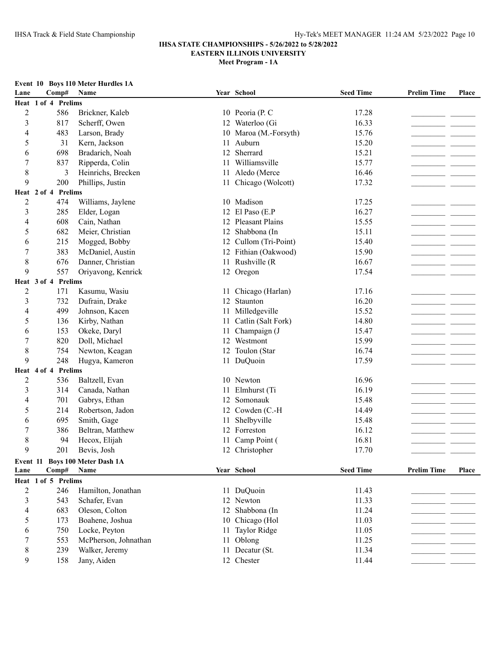### **IHSA STATE CHAMPIONSHIPS - 5/26/2022 to 5/28/2022 EASTERN ILLINOIS UNIVERSITY**

**Meet Program - 1A**

|                |                     | Event 10 Boys 110 Meter Hurdles 1A |    |                      |                  |                    |       |
|----------------|---------------------|------------------------------------|----|----------------------|------------------|--------------------|-------|
| Lane           | Comp#               | Name                               |    | Year School          | <b>Seed Time</b> | <b>Prelim Time</b> | Place |
|                | Heat 1 of 4 Prelims |                                    |    |                      |                  |                    |       |
| $\overline{2}$ | 586                 | Brickner, Kaleb                    |    | 10 Peoria (P. C      | 17.28            |                    |       |
| $\mathfrak{Z}$ | 817                 | Scherff, Owen                      | 12 | Waterloo (Gi         | 16.33            |                    |       |
| 4              | 483                 | Larson, Brady                      | 10 | Maroa (M.-Forsyth)   | 15.76            |                    |       |
| 5              | 31                  | Kern, Jackson                      | 11 | Auburn               | 15.20            |                    |       |
| 6              | 698                 | Bradarich, Noah                    | 12 | Sherrard             | 15.21            |                    |       |
| 7              | 837                 | Ripperda, Colin                    | 11 | Williamsville        | 15.77            |                    |       |
| $\,$ 8 $\,$    | 3                   | Heinrichs, Brecken                 | 11 | Aledo (Merce         | 16.46            |                    |       |
| 9              | 200                 | Phillips, Justin                   | 11 | Chicago (Wolcott)    | 17.32            |                    |       |
|                | Heat 2 of 4 Prelims |                                    |    |                      |                  |                    |       |
| $\overline{2}$ | 474                 | Williams, Jaylene                  |    | 10 Madison           | 17.25            |                    |       |
| 3              | 285                 | Elder, Logan                       | 12 | El Paso (E.P         | 16.27            |                    |       |
| 4              | 608                 | Cain, Nathan                       | 12 | Pleasant Plains      | 15.55            |                    |       |
| 5              | 682                 | Meier, Christian                   | 12 | Shabbona (In         | 15.11            |                    |       |
| 6              | 215                 | Mogged, Bobby                      | 12 | Cullom (Tri-Point)   | 15.40            |                    |       |
| 7              | 383                 | McDaniel, Austin                   |    | 12 Fithian (Oakwood) | 15.90            |                    |       |
| 8              | 676                 | Danner, Christian                  |    | 11 Rushville (R      | 16.67            |                    |       |
| 9              | 557                 | Oriyavong, Kenrick                 |    | 12 Oregon            | 17.54            |                    |       |
|                | Heat 3 of 4 Prelims |                                    |    |                      |                  |                    |       |
| $\overline{c}$ | 171                 | Kasumu, Wasiu                      |    | 11 Chicago (Harlan)  | 17.16            |                    |       |
| 3              | 732                 | Dufrain, Drake                     | 12 | Staunton             | 16.20            |                    |       |
| 4              | 499                 | Johnson, Kacen                     |    | 11 Milledgeville     | 15.52            |                    |       |
| 5              | 136                 | Kirby, Nathan                      | 11 | Catlin (Salt Fork)   | 14.80            |                    |       |
| 6              | 153                 | Okeke, Daryl                       | 11 | Champaign (J         | 15.47            |                    |       |
| 7              | 820                 | Doll, Michael                      |    | 12 Westmont          | 15.99            |                    |       |
| $\,$ 8 $\,$    | 754                 | Newton, Keagan                     |    | 12 Toulon (Star      | 16.74            |                    |       |
| 9              | 248                 | Hugya, Kameron                     |    | 11 DuQuoin           | 17.59            |                    |       |
| Heat           | 4 of 4 Prelims      |                                    |    |                      |                  |                    |       |
| $\overline{c}$ | 536                 | Baltzell, Evan                     |    | 10 Newton            | 16.96            |                    |       |
| 3              | 314                 | Canada, Nathan                     | 11 | Elmhurst (Ti         | 16.19            |                    |       |
| 4              | 701                 | Gabrys, Ethan                      | 12 | Somonauk             | 15.48            |                    |       |
| 5              | 214                 | Robertson, Jadon                   |    | 12 Cowden (C.-H      | 14.49            |                    |       |
| 6              | 695                 | Smith, Gage                        | 11 | Shelbyville          | 15.48            |                    |       |
| $\overline{7}$ | 386                 | Beltran, Matthew                   | 12 | Forreston            | 16.12            |                    |       |
| 8              | 94                  | Hecox, Elijah                      |    | 11 Camp Point (      | 16.81            |                    |       |
| 9              | 201                 | Bevis, Josh                        |    | 12 Christopher       | 17.70            |                    |       |
|                |                     | Event 11 Boys 100 Meter Dash 1A    |    |                      |                  |                    |       |
| Lane           | Comp#               | Name                               |    | Year School          | <b>Seed Time</b> | <b>Prelim Time</b> | Place |
|                | Heat 1 of 5 Prelims |                                    |    |                      |                  |                    |       |
| $\overline{2}$ | 246                 | Hamilton, Jonathan                 |    | 11 DuQuoin           | 11.43            |                    |       |
| $\mathfrak{Z}$ | 543                 | Schafer, Evan                      | 12 | Newton               | 11.33            |                    |       |
| 4              | 683                 | Oleson, Colton                     | 12 | Shabbona (In         | 11.24            |                    |       |
| 5              | 173                 | Boahene, Joshua                    | 10 | Chicago (Hol         | 11.03            |                    |       |
| 6              | 750                 | Locke, Peyton                      | 11 | Taylor Ridge         | 11.05            |                    |       |
| 7              | 553                 | McPherson, Johnathan               | 11 | Oblong               | 11.25            |                    |       |
|                |                     | Walker, Jeremy                     |    |                      |                  |                    |       |
| $\,8\,$        | 239                 |                                    |    | 11 Decatur (St.      | 11.34            |                    |       |

9 158 Jany, Aiden 12 Chester 11.44 11.44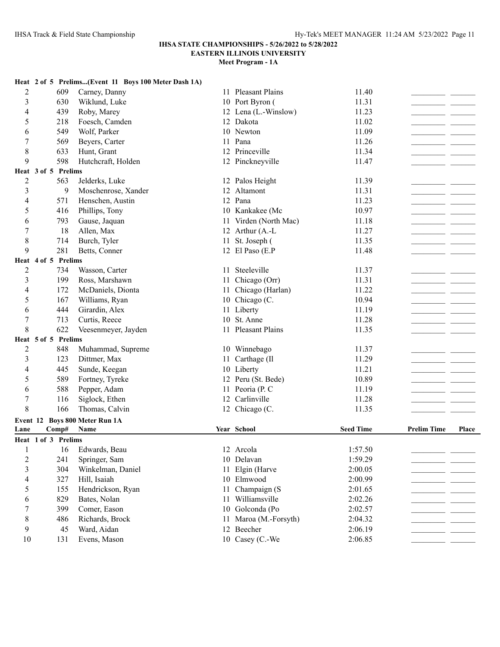# **IHSA STATE CHAMPIONSHIPS - 5/26/2022 to 5/28/2022**

**EASTERN ILLINOIS UNIVERSITY**

|                         |                     | Heat 2 of 5 Prelims(Event 11 Boys 100 Meter Dash 1A) |    |                               |                    |                    |              |
|-------------------------|---------------------|------------------------------------------------------|----|-------------------------------|--------------------|--------------------|--------------|
| $\overline{c}$          | 609                 | Carney, Danny                                        |    | 11 Pleasant Plains            | 11.40              |                    |              |
| 3                       | 630                 | Wiklund, Luke                                        |    | 10 Port Byron (               | 11.31              |                    |              |
| 4                       | 439                 | Roby, Marey                                          |    | 12 Lena (L.-Winslow)          | 11.23              |                    |              |
| 5                       | 218                 | Foesch, Camden                                       |    | 12 Dakota                     | 11.02              |                    |              |
| 6                       | 549                 | Wolf, Parker                                         |    | 10 Newton                     | 11.09              |                    |              |
| 7                       | 569                 | Beyers, Carter                                       |    | 11 Pana                       | 11.26              |                    |              |
| 8                       | 633                 | Hunt, Grant                                          |    | 12 Princeville                | 11.34              |                    |              |
| 9                       | 598                 | Hutchcraft, Holden                                   |    | 12 Pinckneyville              | 11.47              |                    |              |
|                         | Heat 3 of 5 Prelims |                                                      |    |                               |                    |                    |              |
| $\overline{2}$          | 563                 | Jelderks, Luke                                       |    | 12 Palos Height               | 11.39              |                    |              |
| 3                       | 9                   | Moschenrose, Xander                                  | 12 | Altamont                      | 11.31              |                    |              |
| 4                       | 571                 | Henschen, Austin                                     |    | 12 Pana                       | 11.23              |                    |              |
| 5                       | 416                 | Phillips, Tony                                       |    | 10 Kankakee (Mc               | 10.97              |                    |              |
| 6                       | 793                 | Gause, Jaquan                                        |    | 11 Virden (North Mac)         | 11.18              |                    |              |
| 7                       | 18                  | Allen, Max                                           |    | 12 Arthur (A.-L               | 11.27              |                    |              |
| 8                       | 714                 | Burch, Tyler                                         | 11 | St. Joseph (                  | 11.35              |                    |              |
| 9                       | 281                 | Betts, Conner                                        |    | 12 El Paso (E.P               | 11.48              |                    |              |
|                         | Heat 4 of 5 Prelims |                                                      |    |                               |                    |                    |              |
| $\overline{c}$          | 734                 | Wasson, Carter                                       |    | 11 Steeleville                | 11.37              |                    |              |
| 3                       | 199                 | Ross, Marshawn                                       | 11 | Chicago (Orr)                 | 11.31              |                    |              |
| 4                       | 172                 | McDaniels, Dionta                                    | 11 | Chicago (Harlan)              | 11.22              |                    |              |
| 5                       | 167                 | Williams, Ryan                                       |    | 10 Chicago (C.                | 10.94              |                    |              |
| 6                       | 444                 | Girardin, Alex                                       |    | 11 Liberty                    | 11.19              |                    |              |
| 7                       | 713                 | Curtis, Reece                                        |    | 10 St. Anne                   | 11.28              |                    |              |
| 8                       | 622                 | Veesenmeyer, Jayden                                  |    | 11 Pleasant Plains            | 11.35              |                    |              |
|                         | Heat 5 of 5 Prelims |                                                      |    |                               |                    |                    |              |
| $\overline{c}$          | 848                 | Muhammad, Supreme                                    |    | 10 Winnebago                  | 11.37              |                    |              |
| 3                       | 123                 | Dittmer, Max                                         | 11 | Carthage (Il                  | 11.29              |                    |              |
| 4                       | 445                 | Sunde, Keegan                                        |    | 10 Liberty                    | 11.21              |                    |              |
| 5                       | 589                 | Fortney, Tyreke                                      |    | 12 Peru (St. Bede)            | 10.89              |                    |              |
| 6                       | 588                 | Pepper, Adam                                         |    | 11 Peoria (P. C               | 11.19              |                    |              |
| 7                       | 116                 | Siglock, Ethen                                       |    | 12 Carlinville                | 11.28              |                    |              |
| 8                       | 166                 | Thomas, Calvin                                       |    | 12 Chicago (C.                | 11.35              |                    |              |
|                         |                     | Event 12 Boys 800 Meter Run 1A                       |    |                               |                    |                    |              |
| Lane                    | Comp#               | Name                                                 |    | Year School                   | <b>Seed Time</b>   | <b>Prelim Time</b> | <b>Place</b> |
|                         | Heat 1 of 3 Prelims |                                                      |    |                               |                    |                    |              |
| $\mathbf{1}$            | 16                  | Edwards, Beau                                        |    | 12 Arcola                     | 1:57.50            |                    |              |
| $\overline{\mathbf{c}}$ |                     |                                                      |    |                               |                    |                    |              |
|                         | 241                 | Springer, Sam                                        |    | 10 Delavan                    | 1:59.29            |                    |              |
| 3                       | 304                 | Winkelman, Daniel                                    |    | 11 Elgin (Harve               | 2:00.05            |                    |              |
| 4                       | 327                 | Hill, Isaiah                                         |    | 10 Elmwood                    | 2:00.99            |                    |              |
| 5                       | 155                 | Hendrickson, Ryan                                    | 11 | Champaign (S                  | 2:01.65            |                    |              |
| 6                       | 829                 | Bates, Nolan                                         | 11 | Williamsville                 | 2:02.26            |                    |              |
| 7                       | 399                 | Comer, Eason                                         | 10 | Golconda (Po                  | 2:02.57            |                    |              |
| 8                       | 486                 | Richards, Brock                                      |    | 11 Maroa (M.-Forsyth)         | 2:04.32            |                    |              |
| 9<br>10                 | 45<br>131           | Ward, Aidan<br>Evens, Mason                          |    | 12 Beecher<br>10 Casey (C.-We | 2:06.19<br>2:06.85 |                    |              |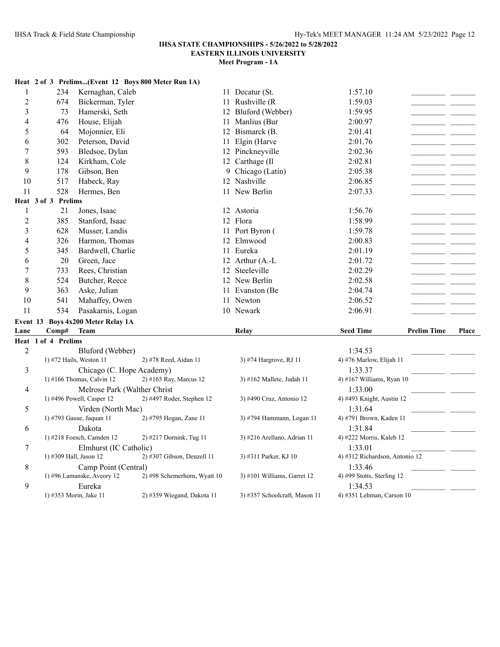# **IHSA STATE CHAMPIONSHIPS - 5/26/2022 to 5/28/2022**

# **EASTERN ILLINOIS UNIVERSITY**

| Heat 2 of 3 Prelims(Event 12 Boys 800 Meter Run 1A)                                                                                                       |                    |       |
|-----------------------------------------------------------------------------------------------------------------------------------------------------------|--------------------|-------|
| $\mathbf{1}$<br>234<br>11 Decatur (St.<br>1:57.10<br>Kernaghan, Caleb                                                                                     |                    |       |
| $\overline{c}$<br>674<br>11 Rushville (R<br>Bickerman, Tyler<br>1:59.03                                                                                   |                    |       |
| 3<br>73<br>12 Bluford (Webber)<br>1:59.95<br>Hamerski, Seth                                                                                               |                    |       |
| 4<br>476<br>House, Elijah<br>11 Manlius (Bur<br>2:00.97                                                                                                   |                    |       |
| 5<br>64<br>Mojonnier, Eli<br>12 Bismarck (B.<br>2:01.41                                                                                                   |                    |       |
| 302<br>Peterson, David<br>11 Elgin (Harve<br>2:01.76<br>6                                                                                                 |                    |       |
| 7<br>593<br>Bledsoe, Dylan<br>12 Pinckneyville<br>2:02.36                                                                                                 |                    |       |
| 8<br>Kirkham, Cole<br>12 Carthage (Il<br>124<br>2:02.81                                                                                                   |                    |       |
| 9<br>178<br>Gibson, Ben<br>9 Chicago (Latin)<br>2:05.38                                                                                                   |                    |       |
| 12 Nashville<br>2:06.85<br>10<br>517<br>Habeck, Ray                                                                                                       |                    |       |
| 11<br>528<br>11 New Berlin<br>2:07.33<br>Hermes, Ben                                                                                                      |                    |       |
| Heat 3 of 3 Prelims                                                                                                                                       |                    |       |
| $\mathbf{1}$<br>1:56.76<br>21<br>Jones, Isaac<br>12 Astoria                                                                                               |                    |       |
| $\overline{2}$<br>385<br>12 Flora<br>1:58.99<br>Stanford, Isaac                                                                                           |                    |       |
| 3<br>1:59.78<br>628<br>Musser, Landis<br>11 Port Byron (                                                                                                  |                    |       |
| Harmon, Thomas<br>12 Elmwood<br>4<br>326<br>2:00.83                                                                                                       |                    |       |
| 5<br>Bardwell, Charlie<br>11 Eureka<br>2:01.19<br>345                                                                                                     |                    |       |
| 20<br>Green, Jace<br>12 Arthur (A.-L<br>2:01.72<br>6                                                                                                      |                    |       |
| 12 Steeleville<br>2:02.29<br>7<br>733<br>Rees, Christian                                                                                                  |                    |       |
| 8<br>Butcher, Reece<br>524<br>12 New Berlin<br>2:02.58                                                                                                    |                    |       |
| 9<br>363<br>2:04.74<br>Aske, Julian<br>11 Evanston (Be                                                                                                    |                    |       |
| 541<br>10<br>Mahaffey, Owen<br>11 Newton<br>2:06.52                                                                                                       |                    |       |
| 11<br>534<br>10 Newark<br>2:06.91<br>Pasakarnis, Logan                                                                                                    |                    |       |
| Event 13 Boys 4x200 Meter Relay 1A                                                                                                                        |                    |       |
| <b>Seed Time</b><br>Lane<br>Comp#<br><b>Team</b><br>Relay                                                                                                 | <b>Prelim Time</b> | Place |
| Heat 1 of 4 Prelims                                                                                                                                       |                    |       |
| $\overline{2}$<br>Bluford (Webber)<br>1:34.53                                                                                                             |                    |       |
| 1) #72 Hails, Weston 11<br>2) #78 Reed, Aidan 11<br>3) #74 Hargrove, RJ 11<br>4) #76 Marlow, Elijah 11                                                    |                    |       |
| 3<br>Chicago (C. Hope Academy)<br>1:33.37                                                                                                                 |                    |       |
| $1)$ #166 Thomas, Calvin 12<br>2) #165 Ray, Marcus 12<br>4) #167 Williams, Ryan $10$<br>3) #162 Mallete, Judah 11                                         |                    |       |
| Melrose Park (Walther Christ<br>4<br>1:33.00                                                                                                              |                    |       |
| 1) #496 Powell, Casper 12<br>2) #497 Roder, Stephen 12<br>3) #490 Cruz, Antonio 12<br>4) #493 Knight, Austin 12                                           |                    |       |
| 5<br>1:31.64<br>Virden (North Mac)                                                                                                                        |                    |       |
| 1) #793 Gause, Jaquan 11<br>2) #795 Hogan, Zane 11<br>3) #794 Hammann, Logan 11<br>4) #791 Brown, Kaden 11                                                |                    |       |
| Dakota<br>1:31.84<br>6                                                                                                                                    |                    |       |
| 1) #218 Foesch, Camden 12<br>2) #217 Dornink, Tug 11<br>3) #216 Arellano, Adrian 11<br>4) #222 Morris, Kaleb 12                                           |                    |       |
| 7<br>Elmhurst (IC Catholic)<br>1:33.01<br>1) #309 Hall, Jason 12<br>2) #307 Gibson, Denzell 11<br>3) #311 Parker, KJ 10<br>4) #312 Richardson, Antonio 12 |                    |       |
| 1:33.46<br>8<br>Camp Point (Central)                                                                                                                      |                    |       |
| 1) #96 Lamanske, Aveory 12<br>4) #99 Stotts, Sterling 12<br>2) #98 Schemerhorn, Wyatt 10<br>3) #101 Williams, Garret 12                                   |                    |       |
| 9<br>Eureka<br>1:34.53                                                                                                                                    |                    |       |
| 1) #353 Morin, Jake 11<br>2) #359 Wiegand, Dakota 11<br>4) #351 Lehman, Carson 10<br>3) #357 Schoolcraft, Mason 11                                        |                    |       |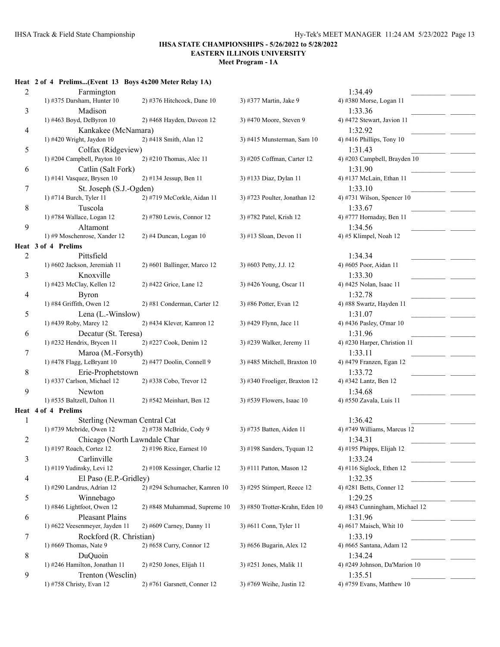**Meet Program - 1A**

### **Heat 2 of 4 Prelims...(Event 13 Boys 4x200 Meter Relay 1A)**

| $\overline{c}$ | Farmington                                               |                                 |                                | 1:34.49                              |
|----------------|----------------------------------------------------------|---------------------------------|--------------------------------|--------------------------------------|
|                | 1) #375 Darsham, Hunter 10                               | 2) #376 Hitchcock, Dane 10      | 3) #377 Martin, Jake 9         | 4) #380 Morse, Logan 11              |
| 3              | Madison                                                  |                                 |                                | 1:33.36                              |
|                | 1) #463 Boyd, DeByron 10                                 | $2)$ #468 Hayden, Daveon 12     | 3) #470 Moore, Steven 9        | 4) #472 Stewart, Javion 11           |
| 4              | Kankakee (McNamara)                                      |                                 |                                | 1:32.92                              |
|                | 1) #420 Wright, Jaydon 10                                | 2) #418 Smith, Alan 12          | 3) #415 Munsterman, Sam 10     | 4) #416 Phillips, Tony 10            |
| 5              | Colfax (Ridgeview)                                       |                                 |                                | 1:31.43                              |
|                | 1) #204 Campbell, Payton 10                              | $2)$ #210 Thomas, Alec 11       | 3) #205 Coffman, Carter 12     | 4) #203 Campbell, Brayden 10         |
| 6              | Catlin (Salt Fork)                                       |                                 |                                | 1:31.90                              |
|                | 1) #141 Vasquez, Brysen 10                               | 2) #134 Jessup, Ben 11          | 3) #133 Diaz, Dylan 11         | 4) #137 McLain, Ethan 11             |
| 7              | St. Joseph (S.J.-Ogden)                                  |                                 |                                | 1:33.10                              |
|                | 1) #714 Burch, Tyler 11                                  | 2) #719 McCorkle, Aidan 11      | 3) #723 Poulter, Jonathan 12   | 4) #731 Wilson, Spencer 10           |
| 8              | Tuscola                                                  |                                 |                                | 1:33.67                              |
|                | 1) #784 Wallace, Logan 12                                | 2) #780 Lewis, Connor 12        | 3) #782 Patel, Krish 12        | 4) #777 Hornaday, Ben 11             |
| 9              | Altamont                                                 |                                 |                                | 1:34.56                              |
|                | 1) #9 Moschenrose, Xander 12                             | 2) #4 Duncan, Logan 10          | $3)$ #13 Sloan, Devon 11       | 4) #5 Klimpel, Noah 12               |
|                | Heat 3 of 4 Prelims                                      |                                 |                                |                                      |
| 2              | Pittsfield                                               |                                 |                                | 1:34.34                              |
|                | 1) #602 Jackson, Jeremiah 11                             | 2) #601 Ballinger, Marco 12     | 3) #603 Petty, J.J. 12         | 4) #605 Poor, Aidan 11               |
| 3              | Knoxville                                                |                                 |                                | 1:33.30                              |
|                | 1) #423 McClay, Kellen 12                                | 2) #422 Grice, Lane 12          | 3) #426 Young, Oscar 11        | 4) #425 Nolan, Isaac 11              |
| 4              | <b>Byron</b>                                             |                                 |                                | 1:32.78                              |
|                | 1) #84 Griffith, Owen $12$                               | 2) #81 Conderman, Carter 12     | 3) #86 Potter, Evan 12         | 4) #88 Swartz, Hayden 11             |
| 5              | Lena (L.-Winslow)                                        |                                 |                                | 1:31.07                              |
|                | 1) #439 Roby, Marey 12                                   | 2) #434 Klever, Kamron 12       | 3) #429 Flynn, Jace 11         | 4) #436 Pasley, O'mar 10             |
| 6              | Decatur (St. Teresa)                                     |                                 |                                | 1:31.96                              |
|                | 1) #232 Hendrix, Brycen 11                               | 2) #227 Cook, Denim 12          | 3) #239 Walker, Jeremy 11      | 4) #230 Harper, Christion 11         |
| 7              | Maroa (M.-Forsyth)                                       |                                 |                                | 1:33.11                              |
|                | 1) #478 Flagg, LeBryant 10                               | 2) #477 Doolin, Connell 9       | 3) #485 Mitchell, Braxton 10   | 4) #479 Franzen, Egan 12             |
| 8              | Erie-Prophetstown                                        |                                 |                                | 1:33.72                              |
|                | 1) #337 Carlson, Michael 12                              | 2) #338 Cobo, Trevor 12         | 3) #340 Froeliger, Braxton 12  | 4) #342 Lantz, Ben 12                |
| 9              | Newton                                                   |                                 |                                | 1:34.68                              |
|                | 1) #535 Baltzell, Dalton 11                              | 2) #542 Meinhart, Ben 12        | 3) #539 Flowers, Isaac 10      | 4) #550 Zavala, Luis 11              |
|                | Heat 4 of 4 Prelims                                      |                                 |                                |                                      |
| 1              | Sterling (Newman Central Cat                             |                                 |                                | 1:36.42                              |
|                | 1) #739 Mcbride, Owen 12                                 | 2) #738 McBride, Cody 9         | 3) #735 Batten, Aiden 11       | 4) #749 Williams, Marcus 12          |
| $\overline{c}$ | Chicago (North Lawndale Char<br>1) #197 Roach, Cortez 12 | 2) #196 Rice, Earnest 10        |                                | 1:34.31                              |
|                |                                                          |                                 | 3) #198 Sanders, Tyquan 12     | 4) #195 Phipps, Elijah 12            |
| 3              | Carlinville<br>1) #119 Yudinsky, Levi 12                 | $2)$ #108 Kessinger, Charlie 12 | 3) #111 Patton, Mason 12       | 1:33.24<br>4) #116 Siglock, Ethen 12 |
|                |                                                          |                                 |                                |                                      |
| 4              | El Paso (E.P.-Gridley)<br>1) #290 Landrus, Adrian 12     | 2) #294 Schumacher, Kamren 10   | 3) #295 Stimpert, Reece 12     | 1:32.35<br>4) #281 Betts, Conner 12  |
|                |                                                          |                                 |                                | 1:29.25                              |
| 5              | Winnebago<br>1) #846 Lightfoot, Owen 12                  | 2) #848 Muhammad, Supreme 10    | 3) #850 Trotter-Krahn, Eden 10 | 4) #843 Cunningham, Michael 12       |
|                | <b>Pleasant Plains</b>                                   |                                 |                                | 1:31.96                              |
| 6              | 1) #622 Veesenmeyer, Jayden 11                           | 2) #609 Carney, Danny 11        | 3) #611 Conn, Tyler 11         | 4) #617 Maisch, Whit 10              |
|                |                                                          |                                 |                                | 1:33.19                              |
| 7              | Rockford (R. Christian)<br>1) #669 Thomas, Nate 9        | 2) #658 Curry, Connor 12        | 3) #656 Bugarin, Alex 12       | 4) #665 Santana, Adam 12             |
| 8              | DuQuoin                                                  |                                 |                                | 1:34.24                              |
|                | 1) #246 Hamilton, Jonathan 11                            | 2) #250 Jones, Elijah 11        | 3) #251 Jones, Malik 11        | 4) #249 Johnson, Da'Marion 10        |
| 9              | Trenton (Wesclin)                                        |                                 |                                | 1:35.51                              |
|                | 1) #758 Christy, Evan 12                                 | $2)$ #761 Garsnett, Conner 12   | 3) #769 Weihe, Justin 12       | 4) #759 Evans, Matthew 10            |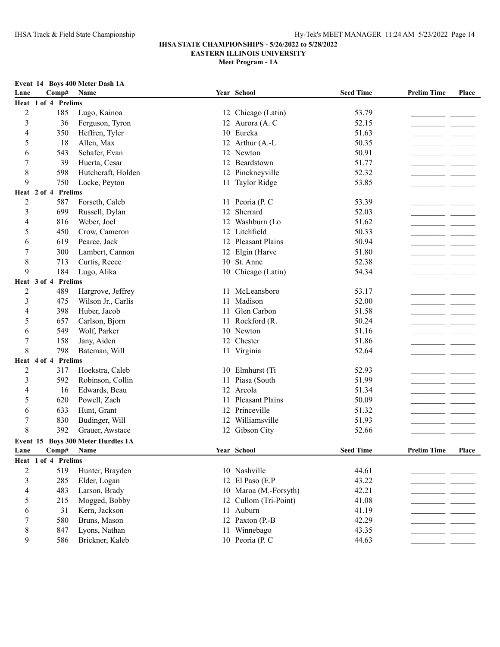| Event 14 Boys 400 Meter Dash 1A |  |               |  |
|---------------------------------|--|---------------|--|
| Lane                            |  | $Comn\#$ Name |  |

| Lane           | Comp#               | <b>Name</b>                        |    | Year School           | <b>Seed Time</b> | <b>Prelim Time</b> | Place |
|----------------|---------------------|------------------------------------|----|-----------------------|------------------|--------------------|-------|
|                | Heat 1 of 4 Prelims |                                    |    |                       |                  |                    |       |
| $\overline{2}$ | 185                 | Lugo, Kainoa                       |    | 12 Chicago (Latin)    | 53.79            |                    |       |
| $\mathfrak{Z}$ | 36                  | Ferguson, Tyron                    |    | 12 Aurora (A. C       | 52.15            |                    |       |
| 4              | 350                 | Heffren, Tyler                     |    | 10 Eureka             | 51.63            |                    |       |
| 5              | 18                  | Allen, Max                         |    | 12 Arthur (A.-L       | 50.35            |                    |       |
| 6              | 543                 | Schafer, Evan                      |    | 12 Newton             | 50.91            |                    |       |
| 7              | 39                  | Huerta, Cesar                      |    | 12 Beardstown         | 51.77            |                    |       |
| 8              | 598                 | Hutchcraft, Holden                 |    | 12 Pinckneyville      | 52.32            |                    |       |
| 9              | 750                 | Locke, Peyton                      |    | 11 Taylor Ridge       | 53.85            |                    |       |
|                | Heat 2 of 4 Prelims |                                    |    |                       |                  |                    |       |
| $\overline{c}$ | 587                 | Forseth, Caleb                     |    | 11 Peoria (P. C       | 53.39            |                    |       |
| 3              | 699                 | Russell, Dylan                     |    | 12 Sherrard           | 52.03            |                    |       |
| 4              | 816                 | Weber, Joel                        |    | 12 Washburn (Lo       | 51.62            |                    |       |
| 5              | 450                 | Crow, Cameron                      |    | 12 Litchfield         | 50.33            |                    |       |
| 6              | 619                 | Pearce, Jack                       |    | 12 Pleasant Plains    | 50.94            |                    |       |
| 7              | 300                 | Lambert, Cannon                    |    | 12 Elgin (Harve       | 51.80            |                    |       |
| $\,$ 8 $\,$    | 713                 | Curtis, Reece                      |    | 10 St. Anne           | 52.38            |                    |       |
| 9              | 184                 | Lugo, Alika                        |    | 10 Chicago (Latin)    | 54.34            |                    |       |
|                | Heat 3 of 4 Prelims |                                    |    |                       |                  |                    |       |
| $\overline{c}$ | 489                 | Hargrove, Jeffrey                  |    | 11 McLeansboro        | 53.17            |                    |       |
| 3              | 475                 | Wilson Jr., Carlis                 |    | 11 Madison            | 52.00            |                    |       |
| 4              | 398                 | Huber, Jacob                       |    | 11 Glen Carbon        | 51.58            |                    |       |
| 5              | 657                 | Carlson, Bjorn                     |    | 11 Rockford (R.       | 50.24            |                    |       |
| 6              | 549                 | Wolf, Parker                       |    | 10 Newton             | 51.16            |                    |       |
| 7              | 158                 | Jany, Aiden                        |    | 12 Chester            | 51.86            |                    |       |
| 8              | 798                 | Bateman, Will                      |    | 11 Virginia           | 52.64            |                    |       |
|                | Heat 4 of 4 Prelims |                                    |    |                       |                  |                    |       |
| $\sqrt{2}$     | 317                 | Hoekstra, Caleb                    |    | 10 Elmhurst (Ti       | 52.93            |                    |       |
| 3              | 592                 | Robinson, Collin                   |    | 11 Piasa (South       | 51.99            |                    |       |
| 4              | 16                  | Edwards, Beau                      |    | 12 Arcola             | 51.34            |                    |       |
| 5              | 620                 | Powell, Zach                       |    | 11 Pleasant Plains    | 50.09            |                    |       |
| 6              | 633                 | Hunt, Grant                        |    | 12 Princeville        | 51.32            |                    |       |
| $\tau$         | 830                 | Budinger, Will                     | 12 | Williamsville         | 51.93            |                    |       |
| 8              | 392                 | Grauer, Awstace                    |    | 12 Gibson City        | 52.66            |                    |       |
|                |                     | Event 15 Boys 300 Meter Hurdles 1A |    |                       |                  |                    |       |
| Lane           | Comp# Name          |                                    |    | Year School           | <b>Seed Time</b> | <b>Prelim Time</b> | Place |
|                | Heat 1 of 4 Prelims |                                    |    |                       |                  |                    |       |
| $\overline{2}$ | 519                 | Hunter, Brayden                    |    | 10 Nashville          | 44.61            |                    |       |
| 3              | 285                 | Elder, Logan                       |    | 12 El Paso (E.P       | 43.22            |                    |       |
| 4              | 483                 | Larson, Brady                      |    | 10 Maroa (M.-Forsyth) | 42.21            |                    |       |
| 5              | 215                 | Mogged, Bobby                      |    | 12 Cullom (Tri-Point) | 41.08            |                    |       |
| 6              | 31                  | Kern, Jackson                      |    | 11 Auburn             | 41.19            |                    |       |
| 7              | 580                 | Bruns, Mason                       |    | 12 Paxton (P.-B       | 42.29            |                    |       |
| 8              | 847                 | Lyons, Nathan                      |    | 11 Winnebago          | 43.35            |                    |       |
| 9              | 586                 | Brickner, Kaleb                    |    | 10 Peoria (P. C       | 44.63            |                    |       |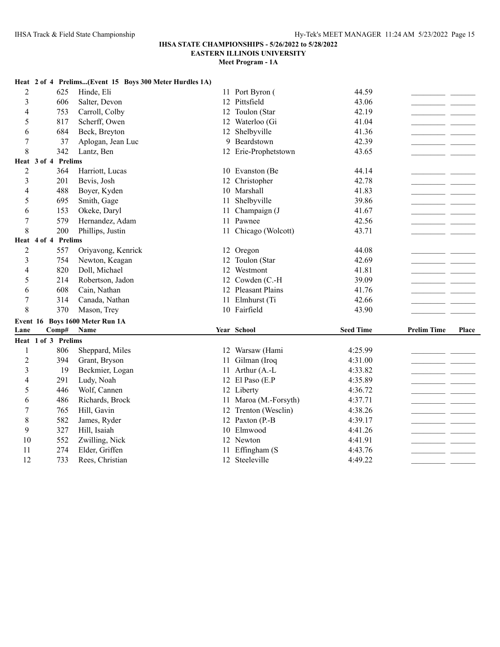# **IHSA STATE CHAMPIONSHIPS - 5/26/2022 to 5/28/2022**

**EASTERN ILLINOIS UNIVERSITY**

|                |                     |       | Heat 2 of 4 Prelims(Event 15 Boys 300 Meter Hurdles 1A) |    |                       |                  |                    |       |
|----------------|---------------------|-------|---------------------------------------------------------|----|-----------------------|------------------|--------------------|-------|
| 2              |                     | 625   | Hinde, Eli                                              |    | 11 Port Byron (       | 44.59            |                    |       |
| 3              |                     | 606   | Salter, Devon                                           |    | 12 Pittsfield         | 43.06            |                    |       |
| 4              |                     | 753   | Carroll, Colby                                          |    | 12 Toulon (Star       | 42.19            |                    |       |
| 5              |                     | 817   | Scherff, Owen                                           |    | 12 Waterloo (Gi       | 41.04            |                    |       |
| 6              |                     | 684   | Beck, Breyton                                           | 12 | Shelbyville           | 41.36            |                    |       |
| 7              |                     | 37    | Aplogan, Jean Luc                                       |    | 9 Beardstown          | 42.39            |                    |       |
| 8              |                     | 342   | Lantz, Ben                                              |    | 12 Erie-Prophetstown  | 43.65            |                    |       |
|                | Heat 3 of 4 Prelims |       |                                                         |    |                       |                  |                    |       |
| $\overline{2}$ |                     | 364   | Harriott, Lucas                                         |    | 10 Evanston (Be       | 44.14            |                    |       |
| 3              |                     | 201   | Bevis, Josh                                             |    | 12 Christopher        | 42.78            |                    |       |
| 4              |                     | 488   | Boyer, Kyden                                            |    | 10 Marshall           | 41.83            |                    |       |
| 5              |                     | 695   | Smith, Gage                                             | 11 | Shelbyville           | 39.86            |                    |       |
| 6              |                     | 153   | Okeke, Daryl                                            | 11 | Champaign (J          | 41.67            |                    |       |
| 7              |                     | 579   | Hernandez, Adam                                         |    | 11 Pawnee             | 42.56            |                    |       |
| 8              |                     | 200   | Phillips, Justin                                        |    | 11 Chicago (Wolcott)  | 43.71            |                    |       |
| Heat           | 4 of 4 Prelims      |       |                                                         |    |                       |                  |                    |       |
| $\overline{2}$ |                     | 557   | Oriyavong, Kenrick                                      |    | 12 Oregon             | 44.08            |                    |       |
| 3              |                     | 754   | Newton, Keagan                                          | 12 | Toulon (Star          | 42.69            |                    |       |
| 4              |                     | 820   | Doll, Michael                                           | 12 | Westmont              | 41.81            |                    |       |
| 5              |                     | 214   | Robertson, Jadon                                        |    | 12 Cowden (C.-H       | 39.09            |                    |       |
| 6              |                     | 608   | Cain, Nathan                                            |    | 12 Pleasant Plains    | 41.76            |                    |       |
| $\tau$         |                     | 314   | Canada, Nathan                                          |    | 11 Elmhurst (Ti       | 42.66            |                    |       |
| 8              |                     | 370   | Mason, Trey                                             |    | 10 Fairfield          | 43.90            |                    |       |
|                |                     |       | Event 16 Boys 1600 Meter Run 1A                         |    |                       |                  |                    |       |
| Lane           |                     | Comp# | <b>Name</b>                                             |    | Year School           | <b>Seed Time</b> | <b>Prelim Time</b> | Place |
|                | Heat 1 of 3 Prelims |       |                                                         |    |                       |                  |                    |       |
| 1              |                     | 806   | Sheppard, Miles                                         |    | 12 Warsaw (Hami       | 4:25.99          |                    |       |
| 2              |                     | 394   | Grant, Bryson                                           | 11 | Gilman (Iroq          | 4:31.00          |                    |       |
| 3              |                     | 19    | Beckmier, Logan                                         |    | 11 Arthur (A.-L       | 4:33.82          |                    |       |
| 4              |                     | 291   | Ludy, Noah                                              |    | 12 El Paso (E.P       | 4:35.89          |                    |       |
| 5              |                     | 446   | Wolf, Cannen                                            |    | 12 Liberty            | 4:36.72          |                    |       |
| 6              |                     | 486   | Richards, Brock                                         |    | 11 Maroa (M.-Forsyth) | 4:37.71          |                    |       |
| 7              |                     | 765   | Hill, Gavin                                             |    | 12 Trenton (Wesclin)  | 4:38.26          |                    |       |
| 8              |                     | 582   | James, Ryder                                            |    | 12 Paxton (P.-B       | 4:39.17          |                    |       |
| 9              |                     | 327   | Hill, Isaiah                                            | 10 | Elmwood               | 4:41.26          |                    |       |
| 10             |                     | 552   | Zwilling, Nick                                          |    | 12 Newton             | 4:41.91          |                    |       |
| 11             |                     | 274   | Elder, Griffen                                          | 11 | Effingham (S          | 4:43.76          |                    |       |
| 12             |                     | 733   | Rees, Christian                                         |    | 12 Steeleville        | 4:49.22          |                    |       |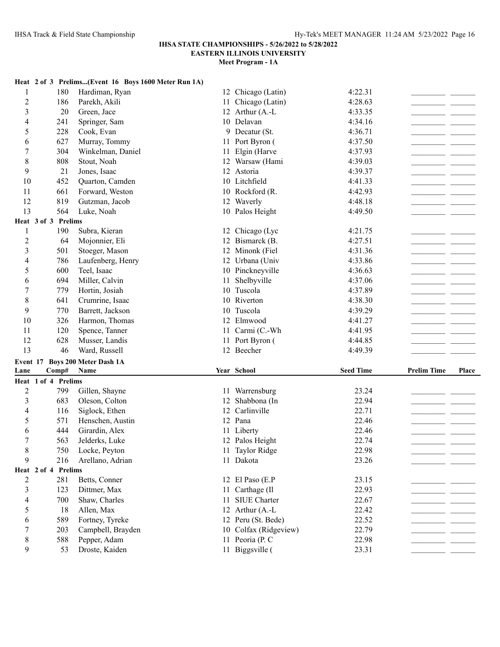|                  |                              | Heat 2 of 3 Prelims(Event 16 Boys 1600 Meter Run 1A) |    |                                 |                  |                    |       |
|------------------|------------------------------|------------------------------------------------------|----|---------------------------------|------------------|--------------------|-------|
| 1                | 180                          | Hardiman, Ryan                                       |    | 12 Chicago (Latin)              | 4:22.31          |                    |       |
| $\overline{c}$   | 186                          | Parekh, Akili                                        | 11 | Chicago (Latin)                 | 4:28.63          |                    |       |
| 3                | 20                           | Green, Jace                                          |    | 12 Arthur (A.-L                 | 4:33.35          |                    |       |
| 4                | 241                          | Springer, Sam                                        |    | 10 Delavan                      | 4:34.16          |                    |       |
| 5                | 228                          | Cook, Evan                                           |    | 9 Decatur (St.                  | 4:36.71          |                    |       |
| 6                | 627                          | Murray, Tommy                                        |    | 11 Port Byron (                 | 4:37.50          |                    |       |
| 7                | 304                          | Winkelman, Daniel                                    | 11 | Elgin (Harve                    | 4:37.93          |                    |       |
| 8                | 808                          | Stout, Noah                                          |    | 12 Warsaw (Hami                 | 4:39.03          |                    |       |
| 9                | 21                           | Jones, Isaac                                         |    | 12 Astoria                      | 4:39.37          |                    |       |
| 10               | 452                          | Quarton, Camden                                      |    | 10 Litchfield                   | 4:41.33          |                    |       |
| 11               | 661                          | Forward, Weston                                      |    | 10 Rockford (R.                 | 4:42.93          |                    |       |
| 12               | 819                          | Gutzman, Jacob                                       |    | 12 Waverly                      | 4:48.18          |                    |       |
| 13               | 564                          | Luke, Noah                                           |    | 10 Palos Height                 | 4:49.50          |                    |       |
|                  | Heat 3 of 3 Prelims          |                                                      |    |                                 |                  |                    |       |
| 1                | 190                          | Subra, Kieran                                        |    | 12 Chicago (Lyc                 | 4:21.75          |                    |       |
| $\overline{c}$   | 64                           | Mojonnier, Eli                                       |    | 12 Bismarck (B.                 | 4:27.51          |                    |       |
| 3                | 501                          | Stoeger, Mason                                       |    | 12 Minonk (Fiel                 | 4:31.36          |                    |       |
| 4                | 786                          | Laufenberg, Henry                                    |    | 12 Urbana (Univ                 | 4:33.86          |                    |       |
| 5                | 600                          | Teel, Isaac                                          |    | 10 Pinckneyville                | 4:36.63          |                    |       |
| 6                | 694                          | Miller, Calvin                                       | 11 | Shelbyville                     | 4:37.06          |                    |       |
| 7                | 779                          | Hortin, Josiah                                       |    | 10 Tuscola                      | 4:37.89          |                    |       |
| 8                | 641                          | Crumrine, Isaac                                      |    | 10 Riverton                     | 4:38.30          |                    |       |
| 9                | 770                          | Barrett, Jackson                                     |    | 10 Tuscola                      | 4:39.29          |                    |       |
|                  |                              |                                                      |    |                                 |                  |                    |       |
| 10               | 326                          |                                                      |    | 12 Elmwood                      | 4:41.27          |                    |       |
| 11               | 120                          | Harmon, Thomas                                       |    | 11 Carmi (C.-Wh                 | 4:41.95          |                    |       |
| 12               | 628                          | Spence, Tanner<br>Musser, Landis                     |    | 11 Port Byron (                 | 4:44.85          |                    |       |
| 13               | 46                           | Ward, Russell                                        |    | 12 Beecher                      | 4:49.39          |                    |       |
|                  |                              |                                                      |    |                                 |                  |                    |       |
| Event 17<br>Lane |                              | <b>Boys 200 Meter Dash 1A</b><br>Name                |    | Year School                     | <b>Seed Time</b> | <b>Prelim Time</b> | Place |
|                  | Comp#<br>Heat 1 of 4 Prelims |                                                      |    |                                 |                  |                    |       |
|                  | 799                          |                                                      |    |                                 | 23.24            |                    |       |
| $\overline{2}$   | 683                          | Gillen, Shayne                                       | 12 | 11 Warrensburg                  | 22.94            |                    |       |
| 3<br>4           | 116                          | Oleson, Colton                                       | 12 | Shabbona (In<br>Carlinville     | 22.71            |                    |       |
| 5                | 571                          | Siglock, Ethen<br>Henschen, Austin                   |    | 12 Pana                         | 22.46            |                    |       |
| 6                | 444                          | Girardin, Alex                                       |    | 11 Liberty                      | 22.46            |                    |       |
| 7                | 563                          | Jelderks, Luke                                       |    |                                 | 22.74            |                    |       |
|                  |                              |                                                      |    | 12 Palos Height                 |                  |                    |       |
| 8<br>9           | 750<br>216                   | Locke, Peyton                                        |    | 11 Taylor Ridge<br>11 Dakota    | 22.98<br>23.26   |                    |       |
|                  | Heat 2 of 4 Prelims          | Arellano, Adrian                                     |    |                                 |                  |                    |       |
| 2                | 281                          | Betts, Conner                                        |    | 12 El Paso (E.P                 | 23.15            |                    |       |
| 3                | 123                          | Dittmer, Max                                         |    |                                 | 22.93            |                    |       |
| 4                | 700                          | Shaw, Charles                                        | 11 | 11 Carthage (Il<br>SIUE Charter | 22.67            |                    |       |
| 5                | 18                           | Allen, Max                                           |    | 12 Arthur (A.-L                 | 22.42            |                    |       |
| 6                | 589                          | Fortney, Tyreke                                      |    | 12 Peru (St. Bede)              | 22.52            |                    |       |
| 7                | 203                          | Campbell, Brayden                                    |    | 10 Colfax (Ridgeview)           | 22.79            |                    |       |
| 8                | 588                          | Pepper, Adam                                         |    | 11 Peoria (P. C                 | 22.98            |                    |       |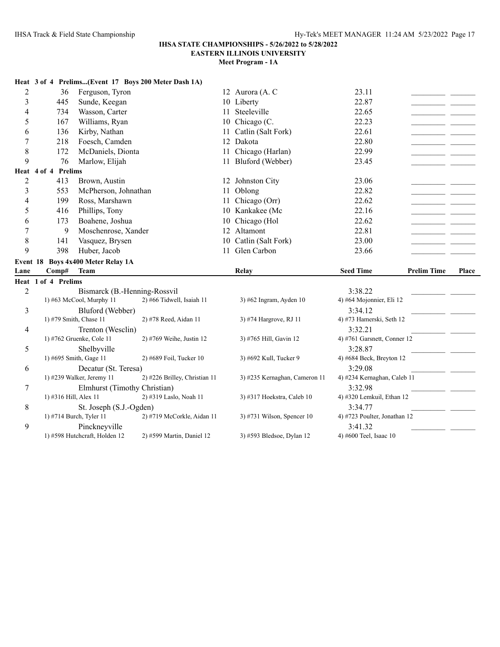1) #598 Hutchcraft, Holden 12

# **IHSA STATE CHAMPIONSHIPS - 5/26/2022 to 5/28/2022**

**EASTERN ILLINOIS UNIVERSITY**

# **Meet Program - 1A**

|                |                       |                                    | Heat 3 of 4 Prelims(Event 17 Boys 200 Meter Dash 1A) |    |                               |                                      |                    |       |
|----------------|-----------------------|------------------------------------|------------------------------------------------------|----|-------------------------------|--------------------------------------|--------------------|-------|
| $\overline{c}$ | 36                    | Ferguson, Tyron                    |                                                      |    | 12 Aurora (A. C               | 23.11                                |                    |       |
| 3              | 445                   | Sunde, Keegan                      |                                                      |    | 10 Liberty                    | 22.87                                |                    |       |
| 4              | 734                   | Wasson, Carter                     |                                                      | 11 | Steeleville                   | 22.65                                |                    |       |
| 5              | 167                   | Williams, Ryan                     |                                                      |    | 10 Chicago $(C.$              | 22.23                                |                    |       |
| 6              | 136                   | Kirby, Nathan                      |                                                      | 11 | Catlin (Salt Fork)            | 22.61                                |                    |       |
| 7              | 218                   | Foesch, Camden                     |                                                      | 12 | Dakota                        | 22.80                                |                    |       |
| 8              | 172                   | McDaniels, Dionta                  |                                                      | 11 | Chicago (Harlan)              | 22.99                                |                    |       |
| 9              | 76                    | Marlow, Elijah                     |                                                      |    | 11 Bluford (Webber)           | 23.45                                |                    |       |
|                | Heat 4 of 4 Prelims   |                                    |                                                      |    |                               |                                      |                    |       |
| $\overline{c}$ | 413                   | Brown, Austin                      |                                                      |    | 12 Johnston City              | 23.06                                |                    |       |
| 3              | 553                   | McPherson, Johnathan               |                                                      | 11 | Oblong                        | 22.82                                |                    |       |
| 4              | 199                   | Ross, Marshawn                     |                                                      | 11 | Chicago (Orr)                 | 22.62                                |                    |       |
| 5              | 416                   | Phillips, Tony                     |                                                      | 10 | Kankakee (Mc                  | 22.16                                |                    |       |
| 6              | 173                   | Boahene, Joshua                    |                                                      | 10 | Chicago (Hol                  | 22.62                                |                    |       |
| 7              | 9                     | Moschenrose, Xander                |                                                      |    | 12 Altamont                   | 22.81                                |                    |       |
| 8              | 141                   | Vasquez, Brysen                    |                                                      | 10 | Catlin (Salt Fork)            | 23.00                                |                    |       |
| 9              | 398                   | Huber, Jacob                       |                                                      |    | 11 Glen Carbon                | 23.66                                |                    |       |
|                |                       |                                    |                                                      |    |                               |                                      |                    |       |
|                |                       | Event 18 Boys 4x400 Meter Relay 1A |                                                      |    |                               |                                      |                    |       |
| Lane           | Comp#                 | Team                               |                                                      |    | <b>Relay</b>                  | <b>Seed Time</b>                     | <b>Prelim Time</b> | Place |
|                | Heat 1 of 4 Prelims   |                                    |                                                      |    |                               |                                      |                    |       |
| $\overline{c}$ |                       | Bismarck (B.-Henning-Rossvil       |                                                      |    |                               | 3:38.22                              |                    |       |
|                |                       | 1) #63 McCool, Murphy 11           | 2) #66 Tidwell, Isaiah 11                            |    | $3)$ #62 Ingram, Ayden 10     | 4) #64 Mojonnier, Eli 12             |                    |       |
| 3              |                       | Bluford (Webber)                   |                                                      |    |                               | 3:34.12                              |                    |       |
|                |                       | 1) #79 Smith, Chase 11             | 2) #78 Reed, Aidan 11                                |    | 3) #74 Hargrove, RJ 11        | 4) #73 Hamerski, Seth 12             |                    |       |
| 4              |                       | Trenton (Wesclin)                  |                                                      |    |                               | 3:32.21                              |                    |       |
|                |                       | 1) #762 Gruenke, Cole 11           | 2) #769 Weihe, Justin 12                             |    | 3) #765 Hill, Gavin 12        | 4) #761 Garsnett, Conner 12          |                    |       |
| 5              |                       | Shelbyville                        |                                                      |    |                               | 3:28.87                              |                    |       |
|                |                       | 1) #695 Smith, Gage 11             | 2) #689 Foil, Tucker 10                              |    | 3) #692 Kull, Tucker 9        | 4) #684 Beck, Breyton 12             |                    |       |
| 6              |                       | Decatur (St. Teresa)               |                                                      |    |                               | 3:29.08                              |                    |       |
|                |                       | 1) #239 Walker, Jeremy 11          | 2) #226 Brilley, Christian 11                        |    | 3) #235 Kernaghan, Cameron 11 | 4) #234 Kernaghan, Caleb 11          |                    |       |
| $\overline{7}$ |                       | Elmhurst (Timothy Christian)       |                                                      |    |                               | 3:32.98                              |                    |       |
| 8              | 1) #316 Hill, Alex 11 | St. Joseph (S.J.-Ogden)            | 2) #319 Laslo, Noah 11                               |    | 3) #317 Hoekstra, Caleb 10    | 4) #320 Lemkuil, Ethan 12<br>3:34.77 |                    |       |
|                |                       |                                    |                                                      |    |                               |                                      |                    |       |

9 Pinckneyville 3:41.32<br>1) #598 Hutchcraft, Holden 12 2) #599 Martin, Daniel 12 3) #593 Bledsoe, Dylan 12 4) #600 Teel, Isaac 10